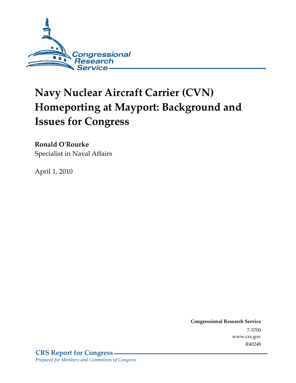

# **Navy Nuclear Aircraft Carrier (CVN) Homeporting at Mayport: Background and Issues for Congress**

**Ronald O'Rourke**  Specialist in Naval Affairs

April 1, 2010

**Congressional Research Service** 7-5700 www.crs.gov R40248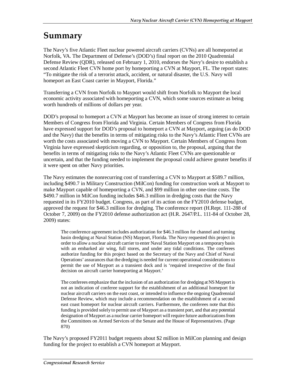## **Summary**

The Navy's five Atlantic Fleet nuclear powered aircraft carriers (CVNs) are all homeported at Norfolk, VA. The Department of Defense's (DOD's) final report on the 2010 Quadrennial Defense Review (QDR), released on February 1, 2010, endorses the Navy's desire to establish a second Atlantic Fleet CVN home port by homeporting a CVN at Mayport, FL. The report states: "To mitigate the risk of a terrorist attack, accident, or natural disaster, the U.S. Navy will homeport an East Coast carrier in Mayport, Florida."

Transferring a CVN from Norfolk to Mayport would shift from Norfolk to Mayport the local economic activity associated with homeporting a CVN, which some sources estimate as being worth hundreds of millions of dollars per year.

DOD's proposal to homeport a CVN at Mayport has become an issue of strong interest to certain Members of Congress from Florida and Virginia. Certain Members of Congress from Florida have expressed support for DOD's proposal to homeport a CVN at Mayport, arguing (as do DOD and the Navy) that the benefits in terms of mitigating risks to the Navy's Atlantic Fleet CVNs are worth the costs associated with moving a CVN to Mayport. Certain Members of Congress from Virginia have expressed skepticism regarding, or opposition to, the proposal, arguing that the benefits in terms of mitigating risks to the Navy's Atlantic Fleet CVNs are questionable or uncertain, and that the funding needed to implement the proposal could achieve greater benefits if it were spent on other Navy priorities.

The Navy estimates the nonrecurring cost of transferring a CVN to Mayport at \$589.7 million, including \$490.7 in Military Construction (MilCon) funding for construction work at Mayport to make Mayport capable of homeporting a CVN, and \$99 million in other one-time costs. The \$490.7 million in MilCon funding includes \$46.3 million in dredging costs that the Navy requested in its FY2010 budget. Congress, as part of its action on the FY2010 defense budget, approved the request for \$46.3 million for dredging. The conference report (H.Rept. 111-288 of October 7, 2009) on the FY2010 defense authorization act (H.R. 2647/P.L. 111-84 of October 28, 2009) states:

The conference agreement includes authorization for \$46.3 million for channel and turning basin dredging at Naval Station (NS) Mayport, Florida. The Navy requested this project in order to allow a nuclear aircraft carrier to enter Naval Station Mayport on a temporary basis with an embarked air wing, full stores, and under any tidal conditions. The conferees authorize funding for this project based on the Secretary of the Navy and Chief of Naval Operations' assurances that the dredging is needed for current operational considerations to permit the use of Mayport as a transient dock and is 'required irrespective of the final decision on aircraft carrier homeporting at Mayport.'

The conferees emphasize that the inclusion of an authorization for dredging at NS Mayport is not an indication of conferee support for the establishment of an additional homeport for nuclear aircraft carriers on the east coast, or intended to influence the ongoing Quadrennial Defense Review, which may include a recommendation on the establishment of a second east coast homeport for nuclear aircraft carriers. Furthermore, the conferees note that this funding is provided solely to permit use of Mayport as a transient port, and that any potential designation of Mayport as a nuclear carrier homeport will require future authorizations from the Committees on Armed Services of the Senate and the House of Representatives. (Page 870)

The Navy's proposed FY2011 budget requests about \$2 million in MilCon planning and design funding for the project to establish a CVN homeport at Mayport.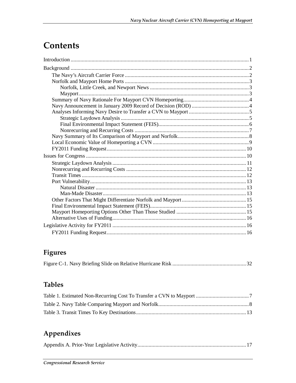# Contents

## Figures

## **Tables**

## Appendixes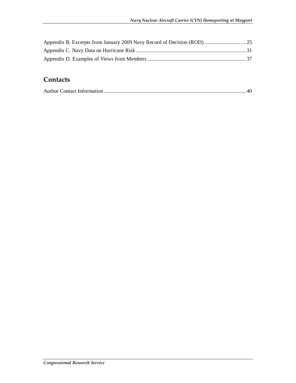## **Contacts**

|--|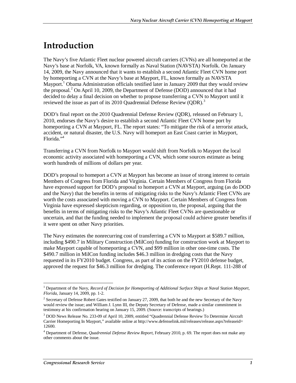# **Introduction**

The Navy's five Atlantic Fleet nuclear powered aircraft carriers (CVNs) are all homeported at the Navy's base at Norfolk, VA, known formally as Naval Station (NAVSTA) Norfolk. On January 14, 2009, the Navy announced that it wants to establish a second Atlantic Fleet CVN home port by homeporting a CVN at the Navy's base at Mayport, FL, known formally as NAVSTA Mayport.<sup>1</sup> Obama Administration officials testified later in January 2009 that they would review the proposal.<sup>2</sup> On April 10, 2009, the Department of Defense (DOD) announced that it had decided to delay a final decision on whether to propose transferring a CVN to Mayport until it reviewed the issue as part of its 2010 Quadrennial Defense Review (QDR).<sup>3</sup>

DOD's final report on the 2010 Quadrennial Defense Review (QDR), released on February 1, 2010, endorses the Navy's desire to establish a second Atlantic Fleet CVN home port by homeporting a CVN at Mayport, FL. The report states: "To mitigate the risk of a terrorist attack, accident, or natural disaster, the U.S. Navy will homeport an East Coast carrier in Mayport, Florida."4

Transferring a CVN from Norfolk to Mayport would shift from Norfolk to Mayport the local economic activity associated with homeporting a CVN, which some sources estimate as being worth hundreds of millions of dollars per year.

DOD's proposal to homeport a CVN at Mayport has become an issue of strong interest to certain Members of Congress from Florida and Virginia. Certain Members of Congress from Florida have expressed support for DOD's proposal to homeport a CVN at Mayport, arguing (as do DOD and the Navy) that the benefits in terms of mitigating risks to the Navy's Atlantic Fleet CVNs are worth the costs associated with moving a CVN to Mayport. Certain Members of Congress from Virginia have expressed skepticism regarding, or opposition to, the proposal, arguing that the benefits in terms of mitigating risks to the Navy's Atlantic Fleet CVNs are questionable or uncertain, and that the funding needed to implement the proposal could achieve greater benefits if it were spent on other Navy priorities.

The Navy estimates the nonrecurring cost of transferring a CVN to Mayport at \$589.7 million, including \$490.7 in Military Construction (MilCon) funding for construction work at Mayport to make Mayport capable of homeporting a CVN, and \$99 million in other one-time costs. The \$490.7 million in MilCon funding includes \$46.3 million in dredging costs that the Navy requested in its FY2010 budget. Congress, as part of its action on the FY2010 defense budget, approved the request for \$46.3 million for dredging. The conference report (H.Rept. 111-288 of

 1 Department of the Navy, *Record of Decision for Homeporting of Additional Surface Ships at Naval Station Mayport, Florida*, January 14, 2009, pp. 1-2.

<sup>&</sup>lt;sup>2</sup> Secretary of Defense Robert Gates testified on January 27, 2009, that both he and the new Secretary of the Navy would review the issue; and William J. Lynn III, the Deputy Secretary of Defense, made a similar commitment in testimony at his confirmation hearing on January 15, 2009. (Source: transcripts of hearings.)

<sup>&</sup>lt;sup>3</sup> DOD News Release No. 233-09 of April 10, 2009, entitled "Quadrennial Defense Review To Determine Aircraft Carrier Homeporting In Mayport," available online at http://www.defenselink.mil/releases/release.aspx?releaseid= 12600.

<sup>4</sup> Department of Defense, *Quadrennial Defense Review Report*, February 2010, p. 69. The report does not make any other comments about the issue.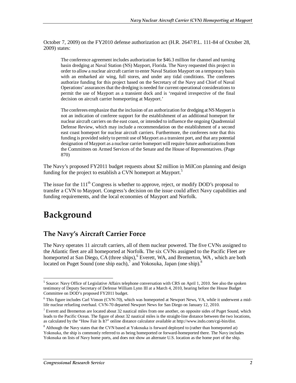October 7, 2009) on the FY2010 defense authorization act (H.R. 2647/P.L. 111-84 of October 28, 2009) states:

The conference agreement includes authorization for \$46.3 million for channel and turning basin dredging at Naval Station (NS) Mayport, Florida. The Navy requested this project in order to allow a nuclear aircraft carrier to enter Naval Station Mayport on a temporary basis with an embarked air wing, full stores, and under any tidal conditions. The conferees authorize funding for this project based on the Secretary of the Navy and Chief of Naval Operations' assurances that the dredging is needed for current operational considerations to permit the use of Mayport as a transient dock and is 'required irrespective of the final decision on aircraft carrier homeporting at Mayport.'

The conferees emphasize that the inclusion of an authorization for dredging at NS Mayport is not an indication of conferee support for the establishment of an additional homeport for nuclear aircraft carriers on the east coast, or intended to influence the ongoing Quadrennial Defense Review, which may include a recommendation on the establishment of a second east coast homeport for nuclear aircraft carriers. Furthermore, the conferees note that this funding is provided solely to permit use of Mayport as a transient port, and that any potential designation of Mayport as a nuclear carrier homeport will require future authorizations from the Committees on Armed Services of the Senate and the House of Representatives. (Page 870)

The Navy's proposed FY2011 budget requests about \$2 million in MilCon planning and design funding for the project to establish a CVN homeport at Mayport.<sup>5</sup>

The issue for the  $111<sup>th</sup>$  Congress is whether to approve, reject, or modify DOD's proposal to transfer a CVN to Mayport. Congress's decision on the issue could affect Navy capabilities and funding requirements, and the local economies of Mayport and Norfolk.

# **Background**

## **The Navy's Aircraft Carrier Force**

The Navy operates 11 aircraft carriers, all of them nuclear powered. The five CVNs assigned to the Atlantic fleet are all homeported at Norfolk. The six CVNs assigned to the Pacific Fleet are homeported at San Diego, CA (three ships), <sup>6</sup> Everett, WA, and Bremerton, WA, which are both located on Puget Sound (one ship each),  $\frac{7}{3}$  and Yokosuka, Japan (one ship).<sup>8</sup>

<sup>-&</sup>lt;br><sup>5</sup> Source: Navy Office of Legislative Affairs telephone conversation with CRS on April 1, 2010. See also the spoken testimony of Deputy Secretary of Defense William Lynn III at a March 4, 2010, hearing before the House Budget Committee on DOD's proposed FY2011 budget.

<sup>&</sup>lt;sup>6</sup> This figure includes Carl Vinson (CVN-70), which was homeported at Newport News, VA, while it underwent a midlife nuclear refueling overhaul. CVN-70 departed Newport News for San Diego on January 12, 2010.

<sup>&</sup>lt;sup>7</sup> Everett and Bremerton are located about 32 nautical miles from one another, on opposite sides of Puget Sound, which leads to the Pacific Ocean. The figure of about 32 nautical miles is the straight-line distance between the two locations, as calculated by the "How Fair Is It?" online distance calculator available at http://www.indo.com/cgi-bin/dist.

<sup>&</sup>lt;sup>8</sup> Although the Navy states that the CVN based at Yokosuka is forward deployed to (rather than homeported at) Yokosuka, the ship is commonly referred to as being homeported or forward-homeported there. The Navy includes Yokosuka on lists of Navy home ports, and does not show an alternate U.S. location as the home port of the ship.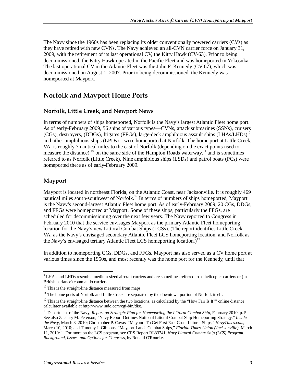The Navy since the 1960s has been replacing its older conventionally powered carriers (CVs) as they have retired with new CVNs. The Navy achieved an all-CVN carrier force on January 31, 2009, with the retirement of its last operational CV, the Kitty Hawk (CV-63). Prior to being decommissioned, the Kitty Hawk operated in the Pacific Fleet and was homeported in Yokosuka. The last operational CV in the Atlantic Fleet was the John F. Kennedy (CV-67), which was decommissioned on August 1, 2007. Prior to being decommissioned, the Kennedy was homeported at Mayport.

## **Norfolk and Mayport Home Ports**

#### **Norfolk, Little Creek, and Newport News**

In terms of numbers of ships homeported, Norfolk is the Navy's largest Atlantic Fleet home port. As of early-February 2009, 56 ships of various types—CVNs, attack submarines (SSNs), cruisers (CGs), destroyers, (DDGs), frigates (FFGs), large-deck amphibious assault ships  $(LHAs/LHDs)$ ,<sup>9</sup> and other amphibious ships (LPDs)—were homeported at Norfolk. The home port at Little Creek, VA, is roughly 7 nautical miles to the east of Norfolk (depending on the exact points used to measure the distance),<sup>10</sup> on the same side of the Hampton Roads waterway,<sup>11</sup> and is sometimes referred to as Norfolk (Little Creek). Nine amphibious ships (LSDs) and patrol boats (PCs) were homeported there as of early-February 2009.

#### **Mayport**

Mayport is located in northeast Florida, on the Atlantic Coast, near Jacksonville. It is roughly 469 nautical miles south-southwest of Norfolk.<sup>12</sup> In terms of numbers of ships homeported, Mayport is the Navy's second-largest Atlantic Fleet home port. As of early-February 2009, 20 CGs, DDGs, and FFGs were homeported at Mayport. Some of these ships, particularly the FFGs, are scheduled for decommissioning over the next few years. The Navy reported to Congress in February 2010 that the service envisages Mayport as the primary Atlantic Fleet homeporting location for the Navy's new Littoral Combat Ships (LCSs). (The report identifies Little Creek, VA, as the Navy's envisaged secondary Atlantic Fleet LCS homeporting location, and Norfolk as the Navy's envisaged tertiary Atlantic Fleet LCS homeporting location.)<sup>13</sup>

In addition to homeporting CGs, DDGs, and FFGs, Mayport has also served as a CV home port at various times since the 1950s, and most recently was the home port for the Kennedy, until that

**EXECUTE:**<br><sup>9</sup> LHAs and LHDs resemble medium-sized aircraft carriers and are sometimes referred to as helicopter carriers or (in British parlance) commando carriers.

<sup>&</sup>lt;sup>10</sup> This is the straight-line distance measured from maps.

<sup>&</sup>lt;sup>11</sup> The home ports of Norfolk and Little Creek are separated by the downtown portion of Norfolk itself.

 $12$  This is the straight-line distance between the two locations, as calculated by the "How Fair Is It?" online distance calculator available at http://www.indo.com/cgi-bin/dist.

<sup>13</sup> Department of the Navy, *Report on Strategic Plan for Homeporting the Littoral Combat Ship*, February 2010, p. 5. See also Zachary M. Peterson, "Navy Report Outlines Notional Littoral Combat Ship Homeporting Strategy," *Inside the Navy*, March 8, 2010; Christopher P. Cavas, "Mayport To Get First East Coast Littoral Ships," *NavyTimes.com*, March 10, 2010; and Timothy J. Gibbons, "Mayport Lands Combat Ships," *Florida Times-Union (Jacksonville)*, March 11, 2010: 1. For more on the LCS program, see CRS Report RL33741, *Navy Littoral Combat Ship (LCS) Program: Background, Issues, and Options for Congress*, by Ronald O'Rourke.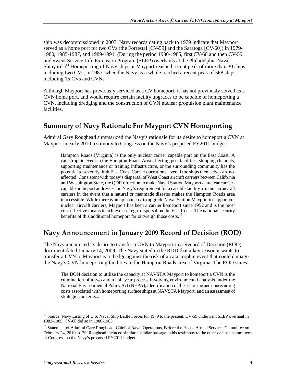ship was decommissioned in 2007. Navy records dating back to 1979 indicate that Mayport served as a home port for two CVs (the Forrestal [CV-59] and the Saratoga [CV-60]) in 1979- 1980, 1985-1987, and 1989-1991. (During the period 1980-1985, first CV-60 and then CV-59 underwent Service Life Extension Program (SLEP) overhauls at the Philadelphia Naval Shipyard.)<sup>14</sup> Homeporting of Navy ships at Mayport reached recent peak of more than 30 ships, including two CVs, in 1987, when the Navy as a whole reached a recent peak of 568 ships, including 15 CVs and CVNs.

Although Mayport has previously serviced as a CV homeport, it has not previously served as a CVN home port, and would require certain facility upgrades to be capable of homeporting a CVN, including dredging and the construction of CVN nuclear propulsion plant maintenance facilities.

## **Summary of Navy Rationale For Mayport CVN Homeporting**

Admiral Gary Roughead summarized the Navy's rationale for its desire to homeport a CVN at Mayport in early 2010 testimony to Congress on the Navy's proposed FY2011 budget:

Hampton Roads [Virginia] is the only nuclear carrier capable port on the East Coast. A catastrophic event in the Hampton Roads Area affecting port facilities, shipping channels, supporting maintenance or training infrastructure, or the surrounding community has the potential to severely limit East Coast Carrier operations, even if the ships themselves are not affected. Consistent with today's dispersal of West Coast aircraft carriers between California and Washington State, the QDR direction to make Naval Station Mayport a nuclear carriercapable homeport addresses the Navy's requirement for a capable facility to maintain aircraft carriers in the event that a natural or manmade disaster makes the Hampton Roads area inaccessible. While there is an upfront cost to upgrade Naval Station Mayport to support our nuclear aircraft carriers, Mayport has been a carrier homeport since 1952 and is the most cost-effective means to achieve strategic dispersal on the East Coast. The national security benefits of this additional homeport far outweigh those costs.<sup>15</sup>

### **Navy Announcement in January 2009 Record of Decision (ROD)**

The Navy announced its desire to transfer a CVN to Mayport in a Record of Decision (ROD) document dated January 14, 2009. The Navy stated in the ROD that a key reason it wants to transfer a CVN to Mayport is to hedge against the risk of a catastrophic event that could damage the Navy's CVN homeporting facilities in the Hampton Roads area of Virginia. The ROD states:

The DON decision to utilize the capacity at NAVSTA Mayport to homeport a CVN is the culmination of a two and a half year process involving environmental analysis under the National Environmental Policy Act (NEPA), identification of the recurring and nonrecurring costs associated with homeporting surface ships at NAVSTA Mayport, and an assessment of strategic concerns....

<sup>&</sup>lt;u>.</u> <sup>14</sup> Source: Navy Listing of U.S. Naval Ship Battle Forces for 1979 to the present. CV-59 underwent SLEP overhaul in 1983-1985; CV-60 did so in 1980-1983.

<sup>&</sup>lt;sup>15</sup> Statement of Admiral Gary Roughead, Chief of Naval Operations, Before the House Armed Services Committee on February 24, 2010, p. 20. Roughead included similar a similar passage in his testimony to the other defense committees of Congress on the Navy's proposed FY2011 budget.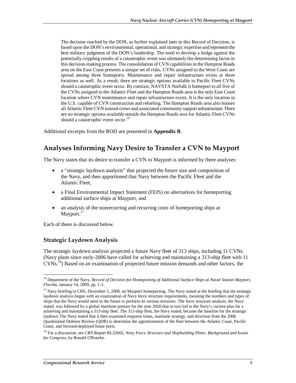The decision reached by the DON, as further explained later in this Record of Decision, is based upon the DON's environmental, operational, and strategic expertise and represents the best military judgment of the DON's leadership. The need to develop a hedge against the potentially crippling results of a catastrophic event was ultimately the determining factor in this decision-making process. The consolidation of CVN capabilities in the Hampton Roads area on the East Coast presents a unique set of risks. CVNs assigned to the West Coast are spread among three homeports. Maintenance and repair infrastructure exists at three locations as well. As a result, there are strategic options available to Pacific Fleet CVNs should a catastrophic event occur. By contrast, NAVSTA Norfolk is homeport to all five of the CVNs assigned to the Atlantic Fleet and the Hampton Roads area is the only East Coast location where CVN maintenance and repair infrastructure exists. It is the only location in the U.S. capable of CVN construction and refueling. The Hampton Roads area also houses all Atlantic Fleet CVN trained crews and associated community support infrastructure. There are no strategic options available outside the Hampton Roads area for Atlantic Fleet CVNs should a catastrophic event occur.<sup>16</sup>

Additional excerpts from the ROD are presented in **Appendix B**.

## **Analyses Informing Navy Desire to Transfer a CVN to Mayport**

The Navy states that its desire to transfer a CVN to Mayport is informed by three analyses:

- a "strategic laydown analysis" that projected the future size and composition of the Navy, and then apportioned that Navy between the Pacific Fleet and the Atlantic Fleet,
- a Final Environmental Impact Statement (FEIS) on alternatives for homeporting additional surface ships at Mayport, and
- an analysis of the nonrecurring and recurring costs of homeporting ships at Mayport.<sup>17</sup>

Each of these is discussed below.

#### **Strategic Laydown Analysis**

The strategic laydown analysis projected a future Navy fleet of 313 ships, including 11 CVNs. (Navy plans since early-2006 have called for achieving and maintaining a 313-ship fleet with 11 CVNs.18) Based on an examination of projected future mission demands and other factors, the

<sup>&</sup>lt;u>.</u> 16 Department of the Navy, *Record of Decision for Homeporting of Additional Surface Ships at Naval Station Mayport, Florida*, January 14, 2009, pp. 1-2.

 $17$  Navy briefing to CRS, December 5, 2008, on Mayport homeporting. The Navy stated at the briefing that the strategic laydown analysis began with an examination of Navy force structure requirements, meaning the numbers and types of ships that the Navy would need in the future to perform its various missions. The force structure analysis, the Navy stated, was followed by a global maritime posture for the year 2020 that in turn led to the Navy's current plan for a achieving and maintaining a 313-ship fleet. The 313-ship fleet, the Navy stated, became the baseline for the strategic laydown The Navy stated that it then examined response times, maritime strategy, and direction from the 2006 Quadrennial Defense Review (QDR) to determine the apportionment of the fleet between the Atlantic Coast, Pacific Coast, and forward-deployed home ports.

*<sup>18</sup>* For a discussion, see CRS Report RL32665, *Navy Force Structure and Shipbuilding Plans: Background and Issues for Congress*, by Ronald O'Rourke.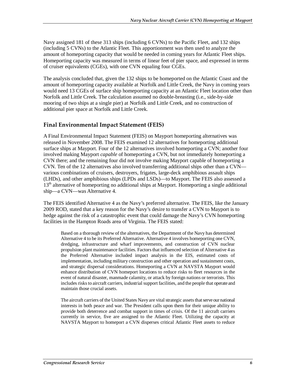Navy assigned 181 of these 313 ships (including 6 CVNs) to the Pacific Fleet, and 132 ships (including 5 CVNs) to the Atlantic Fleet. This apportionment was then used to analyze the amount of homeporting capacity that would be needed in coming years for Atlantic Fleet ships. Homeporting capacity was measured in terms of linear feet of pier space, and expressed in terms of cruiser equivalents (CGEs), with one CVN equaling four CGEs.

The analysis concluded that, given the 132 ships to be homeported on the Atlantic Coast and the amount of homeporting capacity available at Norfolk and Little Creek, the Navy in coming years would need 13 CGEs of surface ship homeporting capacity at an Atlantic Fleet location other than Norfolk and Little Creek. The calculation assumed no double-breasting (i.e., side-by-side mooring of two ships at a single pier) at Norfolk and Little Creek, and no construction of additional pier space at Norfolk and Little Creek.

#### **Final Environmental Impact Statement (FEIS)**

A Final Environmental Impact Statement (FEIS) on Mayport homeporting alternatives was released in November 2008. The FEIS examined 12 alternatives for homeporting additional surface ships at Mayport. Four of the 12 alternatives involved homeporting a CVN; another four involved making Mayport *capable* of homeporting a CVN, but not immediately homeporting a CVN there; and the remaining four did not involve making Mayport capable of homeporting a CVN. Ten of the 12 alternatives also involved transferring additional ships other than a CVN various combinations of cruisers, destroyers, frigates, large-deck amphibious assault ships (LHDs), and other amphibious ships (LPDs and LSDs)—to Mayport. The FEIS also assessed a  $13<sup>th</sup>$  alternative of homeporting no additional ships at Mayport. Homeporting a single additional ship—a CVN—was Alternative 4.

The FEIS identified Alternative 4 as the Navy's preferred alternative. The FEIS, like the January 2009 ROD, stated that a key reason for the Navy's desire to transfer a CVN to Mayport is to hedge against the risk of a catastrophic event that could damage the Navy's CVN homeporting facilities in the Hampton Roads area of Virginia. The FEIS stated:

Based on a thorough review of the alternatives, the Department of the Navy has determined Alternative 4 to be its Preferred Alternative. Alternative 4 involves homeporting one CVN, dredging, infrastructure and wharf improvements, and construction of CVN nuclear propulsion plant maintenance facilities. Factors that influenced selection of Alternative 4 as the Preferred Alternative included impact analysis in the EIS, estimated costs of implementation, including military construction and other operation and sustainment costs, and strategic dispersal considerations. Homeporting a CVN at NAVSTA Mayport would enhance distribution of CVN homeport locations to reduce risks to fleet resources in the event of natural disaster, manmade calamity, or attack by foreign nations or terrorists. This includes risks to aircraft carriers, industrial support facilities, and the people that operate and maintain those crucial assets.

The aircraft carriers of the United States Navy are vital strategic assets that serve our national interests in both peace and war. The President calls upon them for their unique ability to provide both deterrence and combat support in times of crisis. Of the 11 aircraft carriers currently in service, five are assigned to the Atlantic Fleet. Utilizing the capacity at NAVSTA Mayport to homeport a CVN disperses critical Atlantic Fleet assets to reduce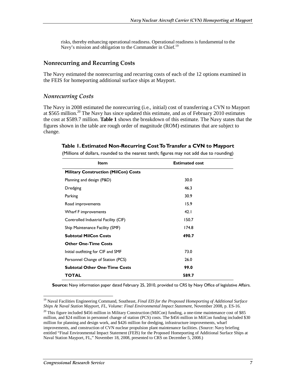risks, thereby enhancing operational readiness. Operational readiness is fundamental to the Navy's mission and obligation to the Commander in Chief.<sup>19</sup>

#### **Nonrecurring and Recurring Costs**

The Navy estimated the nonrecurring and recurring costs of each of the 12 options examined in the FEIS for homeporting additional surface ships at Mayport.

#### *Nonrecurring Costs*

The Navy in 2008 estimated the nonrecurring (i.e., initial) cost of transferring a CVN to Mayport at \$565 million.<sup>20</sup> The Navy has since updated this estimate, and as of February 2010 estimates the cost at \$589.7 million. **Table 1** shows the breakdown of this estimate. The Navy states that the figures shown in the table are rough order of magnitude (ROM) estimates that are subject to change.

#### **Table 1. Estimated Non-Recurring Cost To Transfer a CVN to Mayport**

**Item** Estimated cost **Military Construction (MilCon) Costs** Planning and design (P&D) 30.0 Dredging 46.3 Parking 30.9 Road improvements 15.9 Wharf F improvements 42.1 Controlled Industrial Facility (CIF) 150.7 Ship Maintenance Facility (SMF) 174.8 **Subtotal MilCon Costs 190.7 Other One-Time Costs**  Initial outfitting for CIF and SMF 73.0 Personnel Change of Station (PCS) 26.0 **Subtotal Other One-Time Costs 99.0 TOTAL 589.7** 

(Millions of dollars, rounded to the nearest tenth; figures may not add due to rounding)

**Source:** Navy information paper dated February 25, 2010, provided to CRS by Navy Office of legislative Affairs.

<sup>-</sup>19 Naval Facilities Engineering Command, Southeast, *Final EIS for the Proposed Homeporting of Additional Surface Ships At Naval Station Mayport, FL, Volume: Final Environmental Impact Statement*, November 2008, p. ES-16.

 $20$  This figure included \$456 million in Military Construction (MilCon) funding, a one-time maintenance cost of \$85 million, and \$24 million in personnel change of station (PCS) costs. The \$456 million in MilCon funding included \$30 million for planning and design work, and \$426 million for dredging, infrastructure improvements, wharf improvements, and construction of CVN nuclear propulsion plant maintenance facilities. (Source: Navy briefing entitled "Final Environmental Impact Statement (FEIS) for the Proposed Homeporting of Additional Surface Ships at Naval Station Mayport, FL," November 18, 2008, presented to CRS on December 5, 2008.)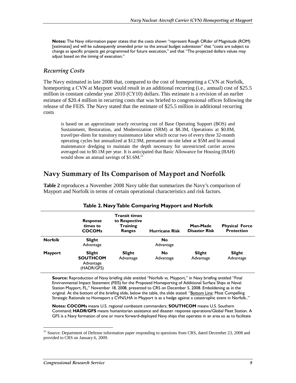**Notes:** The Navy information paper states that the costs shown "represent Rough ORder of Magnitude (ROM) [estimates] and will be subsequently amended prior to the annual budget submission" that "costs are subject to change as specific projects get programmed for future execution," and that "The projected dollars values may adjust based on the timing of execution."

#### *Recurring Costs*

The Navy estimated in late 2008 that, compared to the cost of homeporting a CVN at Norfolk, homeporting a CVN at Mayport would result in an additional recurring (i.e., annual) cost of \$25.5 million in constant calendar year 2010 (CY10) dollars. This estimate is a revision of an earlier estimate of \$20.4 million in recurring costs that was briefed to congressional offices following the release of the FEIS. The Navy stated that the estimate of \$25.5 million in additional recurring costs

is based on an approximate yearly recurring cost of Base Operating Support (BOS) and Sustainment, Restoration, and Modernization (SRM) at \$8.3M, Operations at \$0.8M, travel/per-diem for transitory maintenance labor which occur two of every three 32-month operating cycles but annualized at \$12.9M, permanent on-site labor at \$5M and bi-annual maintenance dredging to maintain the depth necessary for unrestricted carrier access averaged out to \$0.1M per year. It is anticipated that Basic Allowance for Housing (BAH) would show an annual savings of  $$1.6M<sup>21</sup>$ 

### **Navy Summary of Its Comparison of Mayport and Norfolk**

**Table 2** reproduces a November 2008 Navy table that summarizes the Navy's comparison of Mayport and Norfolk in terms of certain operational characteristics and risk factors.

|                | <b>Response</b><br>times to<br><b>COCOMs</b>         | <b>Transit times</b><br>to Respective<br><b>Training</b><br><b>Ranges</b> | <b>Hurricane Risk</b>  | Man-Made<br><b>Disaster Risk</b> | <b>Physical Force</b><br><b>Protection</b> |
|----------------|------------------------------------------------------|---------------------------------------------------------------------------|------------------------|----------------------------------|--------------------------------------------|
| <b>Norfolk</b> | Slight<br>Advantage                                  |                                                                           | <b>No</b><br>Advantage |                                  |                                            |
| <b>Mayport</b> | Slight<br><b>SOUTHCOM</b><br>Advantage<br>(HADR/GFS) | Slight<br>Advantage                                                       | <b>No</b><br>Advantage | Slight<br>Advantage              | Slight<br>Advantage                        |

#### **Table 2. Navy Table Comparing Mayport and Norfolk**

**Source:** Reproduction of Navy briefing slide entitled "Norfolk vs. Mayport," in Navy briefing entitled "Final Environmental Impact Statement (FEIS) for the Proposed Homeporting of Additional Surface Ships at Naval Station Mayport, FL," November 18, 2008, presented to CRS on December 5, 2008. Emboldening as in the original. At the bottom of the briefing slide, below the table, the slide stated: "Bottom Line: Most Compelling Strategic Rationale to Homeport a CVN/LHA in Mayport is as a hedge against a catastrophic event in Norfolk.."

**Notes: COCOMs** means U.S. regional combatant commanders; **SOUTHCOM** means U.S. Southern Command; **HADR/GFS** means humanitarian assistance and disaster response operations/Global Fleet Station. A GFS is a Navy formation of one or more forward-deployed Navy ships that operates in an area so as to facilitate

-

<sup>&</sup>lt;sup>21</sup> Source: Department of Defense information paper responding to questions from CRS, dated December 23, 2008 and provided to CRS on January 6, 2009.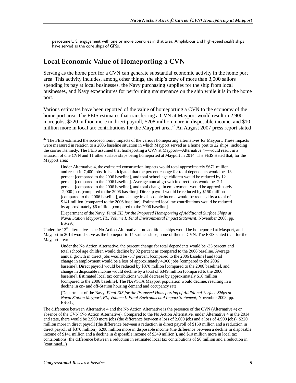peacetime U.S. engagement with one or more countries in that area. Amphibious and high-speed sealift ships have served as the core ships of GFSs.

### **Local Economic Value of Homeporting a CVN**

Serving as the home port for a CVN can generate substantial economic activity in the home port area. This activity includes, among other things, the ship's crew of more than 3,000 sailors spending its pay at local businesses, the Navy purchasing supplies for the ship from local businesses, and Navy expenditures for performing maintenance on the ship while it is in the home port.

Various estimates have been reported of the value of homeporting a CVN to the economy of the home port area. The FEIS estimates that transferring a CVN at Mayport would result in 2,900 more jobs, \$220 million more in direct payroll, \$208 million more in disposable income, and \$10 million more in local tax contributions for the Mayport area.<sup>22</sup> An August 2007 press report stated

[Department of the Navy, *Final EIS for the Proposed Homeporting of Additional Surface Ships at Naval Station Mayport, FL, Volume I: Final Environmental Impact Statement*, November 2008, pp. ES-29.]

Under the 13<sup>th</sup> alternative—the No Action Alternative—no additional ships would be homeported at Mayport, and Mayport in 2014 would serve as the homeport to 11 surface ships, none of them a CVN. The FEIS stated that, for the Mayport area:

Under the No Action Alternative, the percent change for total dependents would be -35 percent and total school age children would decline by 32 percent as compared to the 2006 baseline. Average annual growth in direct jobs would be -5.7 percent [compared to the 2006 baseline] and total change in employment would be a loss of approximately 4,900 jobs [compared to the 2006 baseline]. Direct payroll would be reduced by \$370 million [compared to the 2006 baseline], and change in disposable income would decline by a total of \$349 million [compared to the 2006 baseline]. Estimated local tax contributions would decrease by approximately \$16 million [compared to the 2006 baseline]. The NAVSTA Mayport population would decline, resulting in a decline in on- and off-Station housing demand and occupancy rate.

[Department of the Navy, *Final EIS for the Proposed Homeporting of Additional Surface Ships at Naval Station Mayport, FL, Volume I: Final Environmental Impact Statement*, November 2008, pp. ES-31.]

The difference between Alternative 4 and the No Action Alternative is the presence of the CVN (Alternative 4) or absence of the CVN (No Action Alternative). Compared to the No Action Alternative, under Alternative 4 in the 2014 end state, there would be 2,900 more jobs (the difference between a loss of 2,000 jobs and a loss of 4,900 jobs), \$220 million more in direct payroll (the difference between a reduction in direct payroll of \$150 million and a reduction in direct payroll of \$370 million), \$208 million more in disposable income (the difference between a decline in disposable income of \$141 million and a decline in disposable income of \$349 million.), and \$10 million more in local tax contributions (the difference between a reduction in estimated local tax contributions of \$6 million and a reduction in (continued...)

-

 $22$  The FEIS estimated the socioeconomic impacts of the various homeporting alternatives for Mayport. These impacts were measured in relation to a 2006 baseline situation in which Mayport served as a home port to 22 ships, including the carrier Kennedy. The FEIS assumed that homeporting a CVN at Mayport—Alternative 4—would result in a situation of one CVN and 11 other surface ships being homeported at Mayport in 2014. The FEIS stated that, for the Mayport area:

Under Alternative 4, the estimated construction impacts would total approximately \$671 million and result in 7,400 jobs. It is anticipated that the percent change for total dependents would be -13 percent [compared to the 2006 baseline], and total school age children would be reduced by 12 percent [compared to the 2006 baseline]. Average annual growth in direct jobs would be -2.1 percent [compared to the 2006 baseline], and total change in employment would be approximately -2,000 jobs [compared to the 2006 baseline]. Direct payroll would be reduced by \$150 million [compared to the 2006 baseline], and change in disposable income would be reduced by a total of \$141 million [compared to the 2006 baseline]. Estimated local tax contributions would be reduced by approximately \$6 million [compared to the 2006 baseline].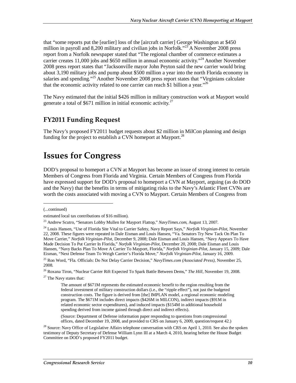that "some reports put the [earlier] loss of the [aircraft carrier] George Washington at \$450 million in payroll and 8,200 military and civilian jobs in Norfolk."<sup>23</sup> A November 2008 press report from a Norfolk newspaper stated that "The regional chamber of commerce estimates a carrier creates 11,000 jobs and \$650 million in annual economic activity.<sup>324</sup> Another November 2008 press report states that "Jacksonville mayor John Peyton said the new carrier would bring about 3,190 military jobs and pump about \$500 million a year into the north Florida economy in salaries and spending."<sup>25</sup> Another November 2008 press report states that "Virginians calculate that the economic activity related to one carrier can reach \$1 billion a year.<sup>"26</sup>

The Navy estimated that the initial \$426 million in military construction work at Mayport would generate a total of \$671 million in initial economic activity.<sup>27</sup>

## **FY2011 Funding Request**

The Navy's proposed FY2011 budget requests about \$2 million in MilCon planning and design funding for the project to establish a CVN homeport at Mayport.<sup>28</sup>

## **Issues for Congress**

DOD's proposal to homeport a CVN at Mayport has become an issue of strong interest to certain Members of Congress from Florida and Virginia. Certain Members of Congress from Florida have expressed support for DOD's proposal to homeport a CVN at Mayport, arguing (as do DOD and the Navy) that the benefits in terms of mitigating risks to the Navy's Atlantic Fleet CVNs are worth the costs associated with moving a CVN to Mayport. Certain Members of Congress from

(...continued)

1

(Source: Department of Defense information paper responding to questions from congressional offices, dated December 19, 2008, and provided to CRS on January 6, 2009, question/request 42.)

estimated local tax contributions of \$16 million).

<sup>23</sup> Andrew Scutro, "Senators Lobby Mullen for Mayport Flattop," *NavyTimes.com*, August 13, 2007.

<sup>24</sup> Louis Hansen, "Use of Florida Site Vital to Carrier Safety, Navy Report Says," *Norfolk Virginian-Pilot*, November 22, 2008. These figures were repeated in Dale Eisman and Louis Hansen, "Va. Senators Try New Tack On Plan To Move Carrier," *Norfolk Virginian-Pilot*, December 9, 2008; Dale Eisman and Louis Hansen, "Navy Appears To Have Made Decision To Put Carrier In Florida," *Norfolk Virginian-Pilot*, December 20, 2008; Dale Eisman and Louis Hansen, "Navy Backs Plan To Move A Carrier To Mayport, Florida," *Norfolk Virginian-Pilot*, January 15, 2009; Dale Eisman, "Next Defense Team To Weigh Carrier's Florida Move," *Norfolk Virginian-Pilot*, January 16, 2009.

<sup>25</sup> Ron Word, "Fla. Officials: Do Not Delay Carrier Decision," *NavyTimes.com (Associated Press)*, November 25, 2008.

<sup>26</sup> Roxana Tiron, "Nuclear Carrier Rift Expected To Spark Battle Between Dems," *The Hill*, November 19, 2008.

 $27$  The Navy states that:

The amount of \$671M represents the estimated economic benefit to the region resulting from the federal investment of military construction dollars (i.e., the "ripple effect"), not just the budgeted construction costs. The figure is derived from [the] IMPLAN model, a regional economic modeling program. The \$671M includes direct impacts (\$426M in MILCON), indirect impacts (\$91M in related economic sector expenditures), and induced impacts (\$154M in additional household spending derived from income gained through direct and indirect effects).

 $28$  Source: Navy Office of Legislative Affairs telephone conversation with CRS on April 1, 2010. See also the spoken testimony of Deputy Secretary of Defense William Lynn III at a March 4, 2010, hearing before the House Budget Committee on DOD's proposed FY2011 budget.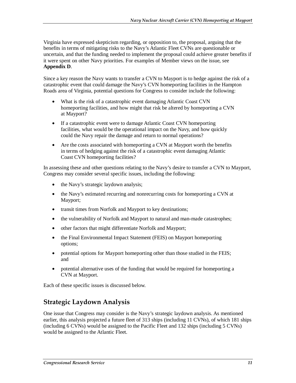Virginia have expressed skepticism regarding, or opposition to, the proposal, arguing that the benefits in terms of mitigating risks to the Navy's Atlantic Fleet CVNs are questionable or uncertain, and that the funding needed to implement the proposal could achieve greater benefits if it were spent on other Navy priorities. For examples of Member views on the issue, see **Appendix D**.

Since a key reason the Navy wants to transfer a CVN to Mayport is to hedge against the risk of a catastrophic event that could damage the Navy's CVN homeporting facilities in the Hampton Roads area of Virginia, potential questions for Congress to consider include the following:

- What is the risk of a catastrophic event damaging Atlantic Coast CVN homeporting facilities, and how might that risk be altered by homeporting a CVN at Mayport?
- If a catastrophic event were to damage Atlantic Coast CVN homeporting facilities, what would be the operational impact on the Navy, and how quickly could the Navy repair the damage and return to normal operations?
- Are the costs associated with homeporting a CVN at Mayport worth the benefits in terms of hedging against the risk of a catastrophic event damaging Atlantic Coast CVN homeporting facilities?

In assessing these and other questions relating to the Navy's desire to transfer a CVN to Mayport, Congress may consider several specific issues, including the following:

- the Navy's strategic laydown analysis;
- the Navy's estimated recurring and nonrecurring costs for homeporting a CVN at Mayport;
- transit times from Norfolk and Mayport to key destinations;
- the vulnerability of Norfolk and Mayport to natural and man-made catastrophes;
- other factors that might differentiate Norfolk and Mayport;
- the Final Environmental Impact Statement (FEIS) on Mayport homeporting options;
- potential options for Mayport homeporting other than those studied in the FEIS; and
- potential alternative uses of the funding that would be required for homeporting a CVN at Mayport.

Each of these specific issues is discussed below.

## **Strategic Laydown Analysis**

One issue that Congress may consider is the Navy's strategic laydown analysis. As mentioned earlier, this analysis projected a future fleet of 313 ships (including 11 CVNs), of which 181 ships (including 6 CVNs) would be assigned to the Pacific Fleet and 132 ships (including 5 CVNs) would be assigned to the Atlantic Fleet.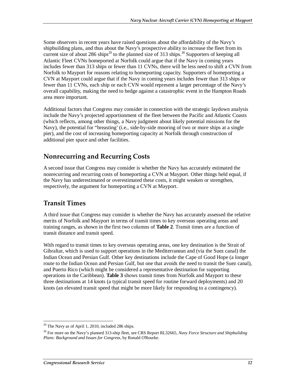Some observers in recent years have raised questions about the affordability of the Navy's shipbuilding plans, and thus about the Navy's prospective ability to increase the fleet from its current size of about 286 ships<sup>29</sup> to the planned size of 313 ships.<sup>30</sup> Supporters of keeping all Atlantic Fleet CVNs homeported at Norfolk could argue that if the Navy in coming years includes fewer than 313 ships or fewer than 11 CVNs, there will be less need to shift a CVN from Norfolk to Mayport for reasons relating to homeporting capacity. Supporters of homeporting a CVN at Mayport could argue that if the Navy in coming years includes fewer than 313 ships or fewer than 11 CVNs, each ship or each CVN would represent a larger percentage of the Navy's overall capability, making the need to hedge against a catastrophic event in the Hampton Roads area more important.

Additional factors that Congress may consider in connection with the strategic laydown analysis include the Navy's projected apportionment of the fleet between the Pacific and Atlantic Coasts (which reflects, among other things, a Navy judgment about likely potential missions for the Navy), the potential for "breasting' (i.e., side-by-side mooring of two or more ships at a single pier), and the cost of increasing homeporting capacity at Norfolk through construction of additional pier space and other facilities.

## **Nonrecurring and Recurring Costs**

A second issue that Congress may consider is whether the Navy has accurately estimated the nonrecurring and recurring costs of homeporting a CVN at Mayport. Other things held equal, if the Navy has underestimated or overestimated these costs, it might weaken or strengthen, respectively, the argument for homeporting a CVN at Mayport.

## **Transit Times**

A third issue that Congress may consider is whether the Navy has accurately assessed the relative merits of Norfolk and Mayport in terms of transit times to key overseas operating areas and training ranges, as shown in the first two columns of **Table 2**. Transit times are a function of transit distance and transit speed.

With regard to transit times to key overseas operating areas, one key destination is the Strait of Gibraltar, which is used to support operations in the Mediterranean and (via the Suez canal) the Indian Ocean and Persian Gulf. Other key destinations include the Cape of Good Hope (a longer route to the Indian Ocean and Persian Gulf, but one that avoids the need to transit the Suez canal), and Puerto Rico (which might be considered a representative destination for supporting operations in the Caribbean). **Table 3** shows transit times from Norfolk and Mayport to these three destinations at 14 knots (a typical transit speed for routine forward deployments) and 20 knots (an elevated transit speed that might be more likely for responding to a contingency).

<sup>-</sup> $29$  The Navy as of April 1, 2010, included 286 ships.

<sup>30</sup> For more on the Navy's planned 313-ship fleet, see CRS Report RL32665, *Navy Force Structure and Shipbuilding Plans: Background and Issues for Congress*, by Ronald O'Rourke.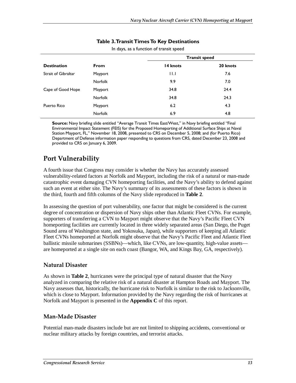|                     |                | <b>Transit speed</b> |          |
|---------------------|----------------|----------------------|----------|
| <b>Destination</b>  | <b>From</b>    | 14 knots             | 20 knots |
| Strait of Gibraltar | Mayport        | 11.1                 | 7.6      |
|                     | <b>Norfolk</b> | 9.9                  | 7.0      |
| Cape of Good Hope   | Mayport        | 34.8                 | 24.4     |
|                     | <b>Norfolk</b> | 34.8                 | 24.3     |
| Puerto Rico         | Mayport        | 6.2                  | 4.3      |
|                     | Norfolk        | 6.9                  | 4.8      |

#### **Table 3. Transit Times To Key Destinations**

In days, as a function of transit speed

**Source:** Navy briefing slide entitled "Average Transit Times East/West," in Navy briefing entitled "Final Environmental Impact Statement (FEIS) for the Proposed Homeporting of Additional Surface Ships at Naval Station Mayport, FL," November 18, 2008, presented to CRS on December 5, 2008; and (for Puerto Rico) Department of Defense information paper responding to questions from CRS, dated December 23, 2008 and provided to CRS on January 6, 2009.

## **Port Vulnerability**

A fourth issue that Congress may consider is whether the Navy has accurately assessed vulnerability-related factors at Norfolk and Mayport, including the risk of a natural or man-made catastrophic event damaging CVN homeporting facilities, and the Navy's ability to defend against such an event at either site. The Navy's summary of its assessments of these factors is shown in the third, fourth and fifth columns of the Navy slide reproduced in **Table 2**.

In assessing the question of port vulnerability, one factor that might be considered is the current degree of concentration or dispersion of Navy ships other than Atlantic Fleet CVNs. For example, supporters of transferring a CVN to Mayport might observe that the Navy's Pacific Fleet CVN homeporting facilities are currently located in three widely separated areas (San Diego, the Puget Sound area of Washington state, and Yokosuka, Japan), while supporters of keeping all Atlantic Fleet CVNs homeported at Norfolk might observe that the Navy's Pacific Fleet and Atlantic Fleet ballistic missile submarines (SSBNs)—which, like CVNs, are low-quantity, high-value assets are homeported at a single site on each coast (Bangor, WA, and Kings Bay, GA, respectively).

#### **Natural Disaster**

As shown in **Table 2**, hurricanes were the principal type of natural disaster that the Navy analyzed in comparing the relative risk of a natural disaster at Hampton Roads and Mayport. The Navy assesses that, historically, the hurricane risk to Norfolk is similar to the risk to Jacksonville, which is close to Mayport. Information provided by the Navy regarding the risk of hurricanes at Norfolk and Mayport is presented in the **Appendix C** of this report.

#### **Man-Made Disaster**

Potential man-made disasters include but are not limited to shipping accidents, conventional or nuclear military attacks by foreign countries, and terrorist attacks.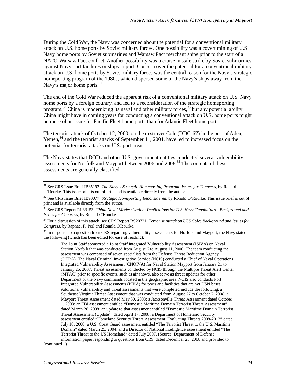During the Cold War, the Navy was concerned about the potential for a conventional military attack on U.S. home ports by Soviet military forces. One possibility was a covert mining of U.S. Navy home ports by Soviet submarines and Warsaw Pact merchant ships prior to the start of a NATO-Warsaw Pact conflict. Another possibility was a cruise missile strike by Soviet submarines against Navy port facilities or ships in port. Concern over the potential for a conventional military attack on U.S. home ports by Soviet military forces was the central reason for the Navy's strategic homeporting program of the 1980s, which dispersed some of the Navy's ships away from the Navy's major home ports.<sup>31</sup>

The end of the Cold War reduced the apparent risk of a conventional military attack on U.S. Navy home ports by a foreign country, and led to a reconsideration of the strategic homeporting program.<sup>32</sup> China is modernizing its naval and other military forces,<sup>33</sup> but any potential ability China might have in coming years for conducting a conventional attack on U.S. home ports might be more of an issue for Pacific Fleet home ports than for Atlantic Fleet home ports.

The terrorist attack of October 12, 2000, on the destroyer Cole (DDG-67) in the port of Aden, Yemen, $34$  and the terrorist attacks of September 11, 2001, have led to increased focus on the potential for terrorist attacks on U.S. port areas.

The Navy states that DOD and other U.S. government entities conducted several vulnerability assessments for Norfolk and Mayport between 2006 and 2008.<sup>35</sup> The contents of these assessments are generally classified.

<sup>35</sup> In response to a question from CRS regarding vulnerability assessments for Norfolk and Mayport, the Navy stated the following (which has been edited for ease of reading):

The Joint Staff sponsored a Joint Staff Integrated Vulnerability Assessment (JSIVA) on Naval Station Norfolk that was conducted from August 6 to August 11, 2006. The team conducting the assessment was composed of seven specialists from the Defense Threat Reduction Agency (DTRA). The Naval Criminal Investigative Service (NCIS) conducted a Chief of Naval Operations Integrated Vulnerability Assessment (CNOIVA) for Naval Station Mayport from January 21 to January 26, 2007. Threat assessments conducted by NCIS through the Multiple Threat Alert Center (MTAC) prior to specific events, such as air shows, also serve as threat updates for other Department of the Navy commands located in the geographic area. NCIS also conducts Port Integrated Vulnerability Assessments (PIVA) for ports and facilities that are not USN bases. Additional vulnerability and threat assessments that were completed include the following: a Southeast Virginia Threat Assessment that was conducted from August 27 to October 7, 2008; a Mayport Threat Assessment dated May 30, 2008; a Jacksonville Threat Assessment dated October 1, 2008; an FBI assessment entitled "Domestic Maritime Domain Terrorist Threat Assessment" dated March 28, 2008; an update to that assessment entitled "Domestic Maritime Domain Terrorist Threat Assessment (Update)" dated April 17, 2008; a Department of Homeland Security assessment entitled "Homeland Security Threat Assessment: Evaluating Threats 2008-2013" dated July 18, 2008; a U.S. Coast Guard assessment entitled "The Terrorist Threat to the U.S. Maritime Domain" dated March 25, 2004; and a Director of National Intelligence assessment entitled "The Terrorist Threat to the US Homeland" dated July 2007. (Source: Department of Defense information paper responding to questions from CRS, dated December 23, 2008 and provided to

(continued...)

<sup>-</sup>31 See CRS Issue Brief IB85193, *The Navy's Strategic Homeporting Program: Issues for Congress*, by Ronald O'Rourke. This issue brief is out of print and is available directly from the author.

<sup>32</sup> See CRS Issue Brief IB90077, *Strategic Homeporting Reconsidered*, by Ronald O'Rourke. This issue brief is out of print and is available directly from the author.

<sup>33</sup> See CRS Report RL33153, *China Naval Modernization: Implications for U.S. Navy Capabilities—Background and Issues for Congress*, by Ronald O'Rourke.

<sup>34</sup> For a discussion of this attack, see CRS Report RS20721, *Terrorist Attack on USS Cole: Background and Issues for Congress*, by Raphael F. Perl and Ronald O'Rourke.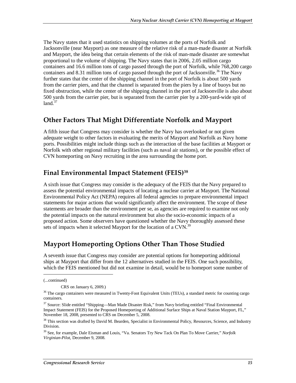The Navy states that it used statistics on shipping volumes at the ports of Norfolk and Jacksonville (near Mayport) as one measure of the relative risk of a man-made disaster at Norfolk and Mayport, the idea being that certain elements of the risk of man-made disaster are somewhat proportional to the volume of shipping. The Navy states that in 2006, 2.05 million cargo containers and 16.6 million tons of cargo passed through the port of Norfolk, while 768,200 cargo containers and 8.31 million tons of cargo passed through the port of Jacksonville.<sup>36</sup> The Navy further states that the center of the shipping channel in the port of Norfolk is about 500 yards from the carrier piers, and that the channel is separated from the piers by a line of buoys but no fixed obstruction, while the center of the shipping channel in the port of Jacksonville is also about 500 yards from the carrier pier, but is separated from the carrier pier by a 200-yard-wide spit of  $land.<sup>37</sup>$ 

### **Other Factors That Might Differentiate Norfolk and Mayport**

A fifth issue that Congress may consider is whether the Navy has overlooked or not given adequate weight to other factors in evaluating the merits of Mayport and Norfolk as Navy home ports. Possibilities might include things such as the interaction of the base facilities at Mayport or Norfolk with other regional military facilities (such as naval air stations), or the possible effect of CVN homeporting on Navy recruiting in the area surrounding the home port.

### **Final Environmental Impact Statement (FEIS)38**

A sixth issue that Congress may consider is the adequacy of the FEIS that the Navy prepared to assess the potential environmental impacts of locating a nuclear carrier at Mayport. The National Environmental Policy Act (NEPA) requires all federal agencies to prepare environmental impact statements for major actions that would significantly affect the environment. The scope of these statements are broader than the environment per se, as agencies are required to examine not only the potential impacts on the natural environment but also the socio-economic impacts of a proposed action. Some observers have questioned whether the Navy thoroughly assessed these sets of impacts when it selected Mayport for the location of a CVN.<sup>39</sup>

## **Mayport Homeporting Options Other Than Those Studied**

A seventh issue that Congress may consider are potential options for homeporting additional ships at Mayport that differ from the 12 alternatives studied in the FEIS. One such possibility, which the FEIS mentioned but did not examine in detail, would be to homeport some number of

1

<sup>(...</sup>continued)

CRS on January 6, 2009.)

<sup>&</sup>lt;sup>36</sup> The cargo containers were measured in Twenty-Foot Equivalent Units (TEUs), a standard metric for counting cargo containers.

<sup>&</sup>lt;sup>37</sup> Source: Slide entitled "Shipping—Man Made Disaster Risk," from Navy briefing entitled "Final Environmental Impact Statement (FEIS) for the Proposed Homeporting of Additional Surface Ships at Naval Station Mayport, FL," November 18, 2008, presented to CRS on December 5, 2008.

<sup>&</sup>lt;sup>38</sup> This section was drafted by David M. Bearden, Specialist in Environmental Policy, Resources, Science, and Industry Division.

<sup>39</sup> See, for example, Dale Eisman and Louis, "Va. Senators Try New Tack On Plan To Move Carrier," *Norfolk Virginian-Pilot*, December 9, 2008.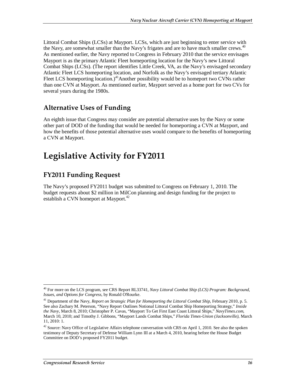Littoral Combat Ships (LCSs) at Mayport. LCSs, which are just beginning to enter service with the Navy, are somewhat smaller than the Navy's frigates and are to have much smaller crews.<sup>40</sup> As mentioned earlier, the Navy reported to Congress in February 2010 that the service envisages Mayport is as the primary Atlantic Fleet homeporting location for the Navy's new Littoral Combat Ships (LCSs). (The report identifies Little Creek, VA, as the Navy's envisaged secondary Atlantic Fleet LCS homeporting location, and Norfolk as the Navy's envisaged tertiary Atlantic Fleet LCS homeporting location.)<sup>41</sup>Another possibility would be to homeport two CVNs rather than one CVN at Mayport. As mentioned earlier, Mayport served as a home port for two CVs for several years during the 1980s.

## **Alternative Uses of Funding**

An eighth issue that Congress may consider are potential alternative uses by the Navy or some other part of DOD of the funding that would be needed for homeporting a CVN at Mayport, and how the benefits of those potential alternative uses would compare to the benefits of homeporting a CVN at Mayport.

## **Legislative Activity for FY2011**

## **FY2011 Funding Request**

The Navy's proposed FY2011 budget was submitted to Congress on February 1, 2010. The budget requests about \$2 million in MilCon planning and design funding for the project to establish a CVN homeport at Mayport.<sup>42</sup>

<u>.</u>

<sup>40</sup> For more on the LCS program, see CRS Report RL33741, *Navy Littoral Combat Ship (LCS) Program: Background, Issues, and Options for Congress*, by Ronald O'Rourke.

<sup>41</sup> Department of the Navy, *Report on Strategic Plan for Homeporting the Littoral Combat Ship*, February 2010, p. 5. See also Zachary M. Peterson, "Navy Report Outlines Notional Littoral Combat Ship Homeporting Strategy," *Inside the Navy*, March 8, 2010; Christopher P. Cavas, "Mayport To Get First East Coast Littoral Ships," *NavyTimes.com*, March 10, 2010; and Timothy J. Gibbons, "Mayport Lands Combat Ships," *Florida Times-Union (Jacksonville)*, March 11, 2010: 1.

<sup>&</sup>lt;sup>42</sup> Source: Navy Office of Legislative Affairs telephone conversation with CRS on April 1, 2010. See also the spoken testimony of Deputy Secretary of Defense William Lynn III at a March 4, 2010, hearing before the House Budget Committee on DOD's proposed FY2011 budget.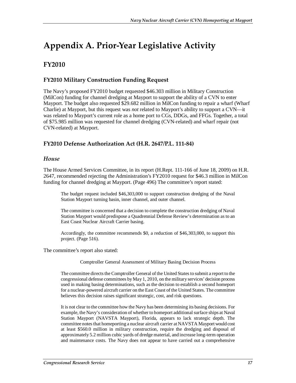# **Appendix A. Prior-Year Legislative Activity**

## **FY2010**

#### **FY2010 Military Construction Funding Request**

The Navy's proposed FY2010 budget requested \$46.303 million in Military Construction (MilCon) funding for channel dredging at Mayport to support the ability of a CVN to enter Mayport. The budget also requested \$29.682 million in MilCon funding to repair a wharf (Wharf Charlie) at Mayport, but this request was *not* related to Mayport's ability to support a CVN—it was related to Mayport's current role as a home port to CGs, DDGs, and FFGs. Together, a total of \$75.985 million was requested for channel dredging (CVN-related) and wharf repair (not CVN-related) at Mayport.

### **FY2010 Defense Authorization Act (H.R. 2647/P.L. 111-84)**

#### *House*

The House Armed Services Committee, in its report (H.Rept. 111-166 of June 18, 2009) on H.R. 2647, recommended rejecting the Administration's FY2010 request for \$46.3 million in MilCon funding for channel dredging at Mayport. (Page 496) The committee's report stated:

The budget request included \$46,303,000 to support construction dredging of the Naval Station Mayport turning basin, inner channel, and outer channel.

The committee is concerned that a decision to complete the construction dredging of Naval Station Mayport would predispose a Quadrennial Defense Review's determination as to an East Coast Nuclear Aircraft Carrier basing.

Accordingly, the committee recommends \$0, a reduction of \$46,303,000, to support this project. (Page 516).

The committee's report also stated:

Comptroller General Assessment of Military Basing Decision Process

The committee directs the Comptroller General of the United States to submit a report to the congressional defense committees by May 1, 2010, on the military services' decision process used in making basing determinations, such as the decision to establish a second homeport for a nuclear-powered aircraft carrier on the East Coast of the United States. The committee believes this decision raises significant strategic, cost, and risk questions.

It is not clear to the committee how the Navy has been determining its basing decisions. For example, the Navy's consideration of whether to homeport additional surface ships at Naval Station Mayport (NAVSTA Mayport), Florida, appears to lack strategic depth. The committee notes that homeporting a nuclear aircraft carrier at NAVSTA Mayport would cost at least \$560.0 million in military construction, require the dredging and disposal of approximately 5.2 million cubic yards of dredge material, and increase long-term operation and maintenance costs. The Navy does not appear to have carried out a comprehensive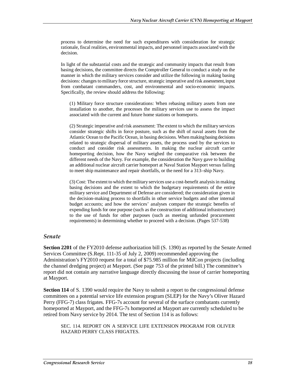process to determine the need for such expenditures with consideration for strategic rationale, fiscal realities, environmental impacts, and personnel impacts associated with the decision.

In light of the substantial costs and the strategic and community impacts that result from basing decisions, the committee directs the Comptroller General to conduct a study on the manner in which the military services consider and utilize the following in making basing decisions: changes to military force structure, strategic imperative and risk assessment, input from combatant commanders, cost, and environmental and socio-economic impacts. Specifically, the review should address the following:

(1) Military force structure considerations: When rebasing military assets from one installation to another, the processes the military services use to assess the impact associated with the current and future home stations or homeports.

(2) Strategic imperative and risk assessment: The extent to which the military services consider strategic shifts in force posture, such as the shift of naval assets from the Atlantic Ocean to the Pacific Ocean, in basing decisions. When making basing decisions related to strategic dispersal of military assets, the process used by the services to conduct and consider risk assessments. In making the nuclear aircraft carrier homeporting decision, how the Navy weighed the comparative risk between the different needs of the Navy. For example, the consideration the Navy gave to building an additional nuclear aircraft carrier homeport at Naval Station Mayport versus failing to meet ship maintenance and repair shortfalls, or the need for a 313–ship Navy.

(3) Cost: The extent to which the military services use a cost-benefit analysis in making basing decisions and the extent to which the budgetary requirements of the entire military service and Department of Defense are considered; the consideration given in the decision-making process to shortfalls in other service budgets and other internal budget accounts; and how the services' analyses compare the strategic benefits of expending funds for one purpose (such as the construction of additional infrastructure) to the use of funds for other purposes (such as meeting unfunded procurement requirements) in determining whether to proceed with a decision. (Pages 537-538)

#### *Senate*

**Section 2201** of the FY2010 defense authorization bill (S. 1390) as reported by the Senate Armed Services Committee (S.Rept. 111-35 of July 2, 2009) recommended approving the Administration's FY2010 request for a total of \$75.985 million for MilCon projects (including the channel dredging project) at Mayport. (See page 753 of the printed bill.) The committee's report did not contain any narrative language directly discussing the issue of carrier homeporting at Mayport.

**Section 114** of S. 1390 would require the Navy to submit a report to the congressional defense committees on a potential service life extension program (SLEP) for the Navy's Oliver Hazard Perry (FFG-7) class frigates. FFG-7s account for several of the surface combatants currently homeported at Mayport, and the FFG-7s homeported at Mayport are currently scheduled to be retired from Navy service by 2014. The text of Section 114 is as follows:

SEC. 114. REPORT ON A SERVICE LIFE EXTENSION PROGRAM FOR OLIVER HAZARD PERRY CLASS FRIGATES.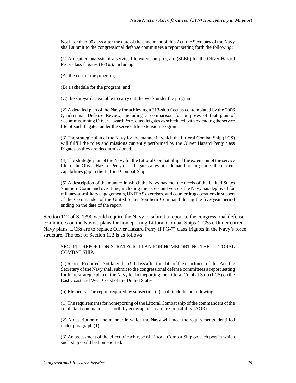Not later than 90 days after the date of the enactment of this Act, the Secretary of the Navy shall submit to the congressional defense committees a report setting forth the following:

(1) A detailed analysis of a service life extension program (SLEP) for the Oliver Hazard Perry class frigates (FFGs), including—

(A) the cost of the program;

(B) a schedule for the program; and

(C) the shipyards available to carry out the work under the program.

(2) A detailed plan of the Navy for achieving a 313-ship fleet as contemplated by the 2006 Quadrennial Defense Review, including a comparison for purposes of that plan of decommissioning Oliver Hazard Perry class frigates as scheduled with extending the service life of such frigates under the service life extension program.

(3) The strategic plan of the Navy for the manner in which the Littoral Combat Ship (LCS) will fulfill the roles and missions currently performed by the Oliver Hazard Perry class frigates as they are decommissioned.

(4) The strategic plan of the Navy for the Littoral Combat Ship if the extension of the service life of the Oliver Hazard Perry class frigates alleviates demand arising under the current capabilities gap in the Littoral Combat Ship.

(5) A description of the manner in which the Navy has met the needs of the United States Southern Command over time, including the assets and vessels the Navy has deployed for military-to-military engagements, UNITAS exercises, and counterdrug operations in support of the Commander of the United States Southern Command during the five-year period ending on the date of the report.

**Section 112** of S. 1390 would require the Navy to submit a report to the congressional defense committees on the Navy's plans for homeporting Littoral Combat Ships (LCSs). Under current Navy plans, LCSs are to replace Oliver Hazard Perry (FFG-7) class frigates in the Navy's force structure. The text of Section 112 is as follows:

SEC. 112. REPORT ON STRATEGIC PLAN FOR HOMEPORTING THE LITTORAL COMBAT SHIP.

(a) Report Required- Not later than 90 days after the date of the enactment of this Act, the Secretary of the Navy shall submit to the congressional defense committees a report setting forth the strategic plan of the Navy for homeporting the Littoral Combat Ship (LCS) on the East Coast and West Coast of the United States.

(b) Elements- The report required by subsection (a) shall include the following:

(1) The requirements for homeporting of the Littoral Combat ship of the commanders of the combatant commands, set forth by geographic area of responsibility (AOR).

(2) A description of the manner in which the Navy will meet the requirements identified under paragraph (1).

(3) An assessment of the effect of each type of Littoral Combat Ship on each port in which such ship could be homeported.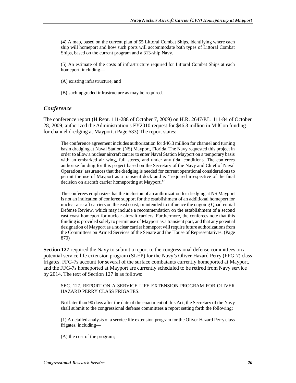(4) A map, based on the current plan of 55 Littoral Combat Ships, identifying where each ship will homeport and how such ports will accommodate both types of Littoral Combat Ships, based on the current program and a 313-ship Navy.

(5) An estimate of the costs of infrastructure required for Littoral Combat Ships at each homeport, including—

(A) existing infrastructure; and

(B) such upgraded infrastructure as may be required.

#### *Conference*

The conference report (H.Rept. 111-288 of October 7, 2009) on H.R. 2647/P.L. 111-84 of October 28, 2009, authorized the Administration's FY2010 request for \$46.3 million in MilCon funding for channel dredging at Mayport. (Page 633) The report states:

The conference agreement includes authorization for \$46.3 million for channel and turning basin dredging at Naval Station (NS) Mayport, Florida. The Navy requested this project in order to allow a nuclear aircraft carrier to enter Naval Station Mayport on a temporary basis with an embarked air wing, full stores, and under any tidal conditions. The conferees authorize funding for this project based on the Secretary of the Navy and Chief of Naval Operations' assurances that the dredging is needed for current operational considerations to permit the use of Mayport as a transient dock and is ''required irrespective of the final decision on aircraft carrier homeporting at Mayport.''

The conferees emphasize that the inclusion of an authorization for dredging at NS Mayport is not an indication of conferee support for the establishment of an additional homeport for nuclear aircraft carriers on the east coast, or intended to influence the ongoing Quadrennial Defense Review, which may include a recommendation on the establishment of a second east coast homeport for nuclear aircraft carriers. Furthermore, the conferees note that this funding is provided solely to permit use of Mayport as a transient port, and that any potential designation of Mayport as a nuclear carrier homeport will require future authorizations from the Committees on Armed Services of the Senate and the House of Representatives. (Page 870)

**Section 127** required the Navy to submit a report to the congressional defense committees on a potential service life extension program (SLEP) for the Navy's Oliver Hazard Perry (FFG-7) class frigates. FFG-7s account for several of the surface combatants currently homeported at Mayport, and the FFG-7s homeported at Mayport are currently scheduled to be retired from Navy service by 2014. The text of Section 127 is as follows:

#### SEC. 127. REPORT ON A SERVICE LIFE EXTENSION PROGRAM FOR OLIVER HAZARD PERRY CLASS FRIGATES.

Not later than 90 days after the date of the enactment of this Act, the Secretary of the Navy shall submit to the congressional defense committees a report setting forth the following:

(1) A detailed analysis of a service life extension program for the Oliver Hazard Perry class frigates, including—

(A) the cost of the program;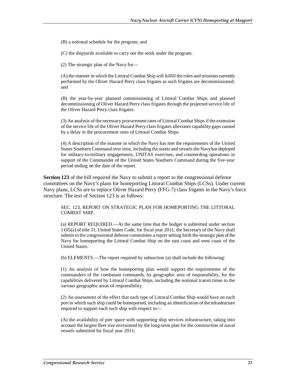(B) a notional schedule for the program; and

(C) the shipyards available to carry out the work under the program.

(2) The strategic plan of the Navy for—

(A) the manner in which the Littoral Combat Ship will fulfill the roles and missions currently performed by the Oliver Hazard Perry class frigates as such frigates are decommissioned; and

(B) the year-by-year planned commissioning of Littoral Combat Ships and planned decommissioning of Oliver Hazard Perry class frigates through the projected service life of the Oliver Hazard Perry class frigates.

(3) An analysis of the necessary procurement rates of Littoral Combat Ships if the extension of the service life of the Oliver Hazard Perry class frigates alleviates capability gaps caused by a delay in the procurement rates of Littoral Combat Ships.

(4) A description of the manner in which the Navy has met the requirements of the United States Southern Command over time, including the assets and vessels the Navy has deployed for military-to-military engagements, UNITAS exercises, and counterdrug operations in support of the Commander of the United States Southern Command during the five-year period ending on the date of the report.

**Section 123** of the bill required the Navy to submit a report to the congressional defense committees on the Navy's plans for homeporting Littoral Combat Ships (LCSs). Under current Navy plans, LCSs are to replace Oliver Hazard Perry (FFG-7) class frigates in the Navy's force structure. The text of Section 123 is as follows:

SEC. 123. REPORT ON STRATEGIC PLAN FOR HOMEPORTING THE LITTORAL COMBAT SHIP.

(a) REPORT REQUIRED.—At the same time that the budget is submitted under section 1105(a) of title 31, United States Code, for fiscal year 2011, the Secretary of the Navy shall submit to the congressional defense committees a report setting forth the strategic plan of the Navy for homeporting the Littoral Combat Ship on the east coast and west coast of the United States.

(b) ELEMENTS.—The report required by subsection (a) shall include the following:

(1) An analysis of how the homeporting plan would support the requirements of the commanders of the combatant commands, by geographic area of responsibility, for the capabilities delivered by Littoral Combat Ships, including the notional transit times to the various geographic areas of responsibility.

(2) An assessment of the effect that each type of Littoral Combat Ship would have on each port in which such ship could be homeported, including an identification of the infrastructure required to support each such ship with respect to—

(A) the availability of pier space with supporting ship services infrastructure, taking into account the largest fleet size envisioned by the long-term plan for the construction of naval vessels submitted for fiscal year 2011;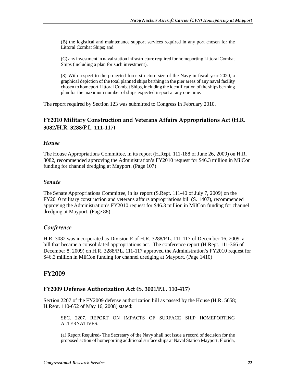(B) the logistical and maintenance support services required in any port chosen for the Littoral Combat Ships; and

(C) any investment in naval station infrastructure required for homeporting Littoral Combat Ships (including a plan for such investment).

(3) With respect to the projected force structure size of the Navy in fiscal year 2020, a graphical depiction of the total planned ships berthing in the pier areas of any naval facility chosen to homeport Littoral Combat Ships, including the identification of the ships berthing plan for the maximum number of ships expected in-port at any one time.

The report required by Section 123 was submitted to Congress in February 2010.

#### **FY2010 Military Construction and Veterans Affairs Appropriations Act (H.R. 3082/H.R. 3288/P.L. 111-117)**

#### *House*

The House Appropriations Committee, in its report (H.Rept. 111-188 of June 26, 2009) on H.R. 3082, recommended approving the Administration's FY2010 request for \$46.3 million in MilCon funding for channel dredging at Mayport. (Page 107)

#### *Senate*

The Senate Appropriations Committee, in its report (S.Rept. 111-40 of July 7, 2009) on the FY2010 military construction and veterans affairs appropriations bill (S. 1407), recommended approving the Administration's FY2010 request for \$46.3 million in MilCon funding for channel dredging at Mayport. (Page 88)

#### *Conference*

H.R. 3082 was incorporated as Division E of H.R. 3288/P.L. 111-117 of December 16, 2009, a bill that became a consolidated appropriations act. The conference report (H.Rept. 111-366 of December 8, 2009) on H.R. 3288/P.L. 111-117 approved the Administration's FY2010 request for \$46.3 million in MilCon funding for channel dredging at Mayport. (Page 1410)

#### **FY2009**

#### **FY2009 Defense Authorization Act (S. 3001/P.L. 110-417)**

Section 2207 of the FY2009 defense authorization bill as passed by the House (H.R. 5658; H.Rept. 110-652 of May 16, 2008) stated:

SEC. 2207. REPORT ON IMPACTS OF SURFACE SHIP HOMEPORTING ALTERNATIVES.

(a) Report Required- The Secretary of the Navy shall not issue a record of decision for the proposed action of homeporting additional surface ships at Naval Station Mayport, Florida,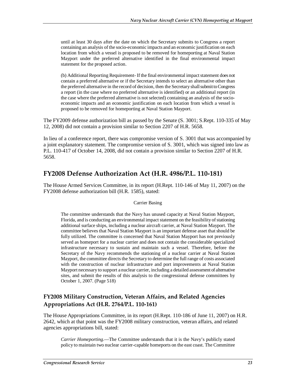until at least 30 days after the date on which the Secretary submits to Congress a report containing an analysis of the socio-economic impacts and an economic justification on each location from which a vessel is proposed to be removed for homeporting at Naval Station Mayport under the preferred alternative identified in the final environmental impact statement for the proposed action.

(b) Additional Reporting Requirement- If the final environmental impact statement does not contain a preferred alternative or if the Secretary intends to select an alternative other than the preferred alternative in the record of decision, then the Secretary shall submit to Congress a report (in the case where no preferred alternative is identified) or an additional report (in the case where the preferred alternative is not selected) containing an analysis of the socioeconomic impacts and an economic justification on each location from which a vessel is proposed to be removed for homeporting at Naval Station Mayport.

The FY2009 defense authorization bill as passed by the Senate (S. 3001; S.Rept. 110-335 of May 12, 2008) did not contain a provision similar to Section 2207 of H.R. 5658.

In lieu of a conference report, there was compromise version of S. 3001 that was accompanied by a joint explanatory statement. The compromise version of S. 3001, which was signed into law as P.L. 110-417 of October 14, 2008, did not contain a provision similar to Section 2207 of H.R. 5658.

## **FY2008 Defense Authorization Act (H.R. 4986/P.L. 110-181)**

The House Armed Services Committee, in its report (H.Rept. 110-146 of May 11, 2007) on the FY2008 defense authorization bill (H.R. 1585), stated:

#### Carrier Basing

The committee understands that the Navy has unused capacity at Naval Station Mayport, Florida, and is conducting an environmental impact statement on the feasibility of stationing additional surface ships, including a nuclear aircraft carrier, at Naval Station Mayport. The committee believes that Naval Station Mayport is an important defense asset that should be fully utilized. The committee is concerned that Naval Station Mayport has not previously served as homeport for a nuclear carrier and does not contain the considerable specialized infrastructure necessary to sustain and maintain such a vessel. Therefore, before the Secretary of the Navy recommends the stationing of a nuclear carrier at Naval Station Mayport, the committee directs the Secretary to determine the full range of costs associated with the construction of nuclear infrastructure and port improvements at Naval Station Mayport necessary to support a nuclear carrier, including a detailed assessment of alternative sites, and submit the results of this analysis to the congressional defense committees by October 1, 2007. (Page 518)

### **FY2008 Military Construction, Veteran Affairs, and Related Agencies Appropriations Act (H.R. 2764/P.L. 110-161)**

The House Appropriations Committee, in its report (H.Rept. 110-186 of June 11, 2007) on H.R. 2642, which at that point was the FY2008 military construction, veteran affairs, and related agencies appropriations bill, stated:

*Carrier Homeporting*.—The Committee understands that it is the Navy's publicly stated policy to maintain two nuclear carrier-capable homeports on the east coast. The Committee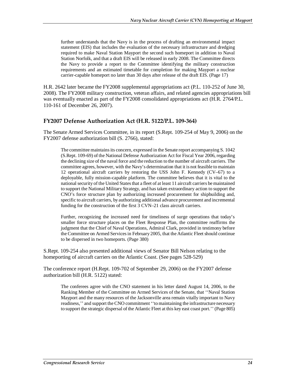further understands that the Navy is in the process of drafting an environmental impact statement (EIS) that includes the evaluation of the necessary infrastructure and dredging required to make Naval Station Mayport the second such homeport in addition to Naval Station Norfolk, and that a draft EIS will be released in early 2008. The Committee directs the Navy to provide a report to the Committee identifying the military construction requirements and an estimated timetable for completion for making Mayport a nuclear carrier-capable homeport no later than 30 days after release of the draft EIS. (Page 17)

H.R. 2642 later became the FY2008 supplemental appropriations act (P.L. 110-252 of June 30, 2008). The FY2008 military construction, veteran affairs, and related agencies appropriations bill was eventually enacted as part of the FY2008 consolidated appropriations act (H.R. 2764/P.L. 110-161 of December 26, 2007).

#### **FY2007 Defense Authorization Act (H.R. 5122/P.L. 109-364)**

The Senate Armed Services Committee, in its report (S.Rept. 109-254 of May 9, 2006) on the FY2007 defense authorization bill (S. 2766), stated:

The committee maintains its concern, expressed in the Senate report accompanying S. 1042 (S.Rept. 109-69) of the National Defense Authorization Act for Fiscal Year 2006, regarding the declining size of the naval force and the reduction to the number of aircraft carriers. The committee agrees, however, with the Navy's determination that it is not feasible to maintain 12 operational aircraft carriers by restoring the USS John F. Kennedy (CV–67) to a deployable, fully mission-capable platform. The committee believes that it is vital to the national security of the United States that a fleet of at least 11 aircraft carriers be maintained to support the National Military Strategy, and has taken extraordinary action to support the CNO's force structure plan by authorizing increased procurement for shipbuilding and, specific to aircraft carriers, by authorizing additional advance procurement and incremental funding for the construction of the first 3 CVN–21 class aircraft carriers.

Further, recognizing the increased need for timeliness of surge operations that today's smaller force structure places on the Fleet Response Plan, the committee reaffirms the judgment that the Chief of Naval Operations, Admiral Clark, provided in testimony before the Committee on Armed Services in February 2005, that the Atlantic Fleet should continue to be dispersed in two homeports. (Page 380)

S.Rept. 109-254 also presented additional views of Senator Bill Nelson relating to the homeporting of aircraft carriers on the Atlantic Coast. (See pages 528-529)

The conference report (H.Rept. 109-702 of September 29, 2006) on the FY2007 defense authorization bill (H.R. 5122) stated:

The conferees agree with the CNO statement in his letter dated August 14, 2006, to the Ranking Member of the Committee on Armed Services of the Senate, that ''Naval Station Mayport and the many resources of the Jacksonville area remain vitally important to Navy readiness,'' and support the CNO commitment ''to maintaining the infrastructure necessary to support the strategic dispersal of the Atlantic Fleet at this key east coast port.'' (Page 805)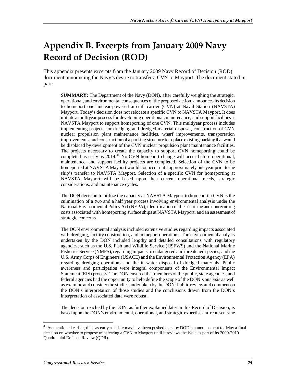# **Appendix B. Excerpts from January 2009 Navy Record of Decision (ROD)**

This appendix presents excerpts from the January 2009 Navy Record of Decision (ROD) document announcing the Navy's desire to transfer a CVN to Mayport. The document stated in part:

**SUMMARY:** The Department of the Navy (DON), after carefully weighing the strategic, operational, and environmental consequences of the proposed action, announces its decision to homeport one nuclear-powered aircraft carrier (CVN) at Naval Station (NAVSTA) Mayport. Today's decision does not relocate a specific CVN to NAVSTA Mayport. It does initiate a multiyear process for developing operational, maintenance, and support facilities at NAVSTA Mayport to support homeporting of one CVN. This multiyear process includes implementing projects for dredging and dredged material disposal, construction of CVN nuclear propulsion plant maintenance facilities, wharf improvements, transportation improvements, and construction of a parking structure to replace existing parking that would be displaced by development of the CVN nuclear propulsion plant maintenance facilities. The projects necessary to create the capacity to support CVN homeporting could be completed as early as 2014.<sup>43</sup> No CVN homeport change will occur before operational, maintenance, and support facility projects are completed. Selection of the CVN to be homeported at NAVSTA Mayport would not occur until approximately one year prior to the ship's transfer to NAVSTA Mayport. Selection of a specific CVN for homeporting at NAVSTA Mayport will be based upon then current operational needs, strategic considerations, and maintenance cycles.

The DON decision to utilize the capacity at NAVSTA Mayport to homeport a CVN is the culmination of a two and a half year process involving environmental analysis under the National Environmental Policy Act (NEPA), identification of the recurring and nonrecurring costs associated with homeporting surface ships at NAVSTA Mayport, and an assessment of strategic concerns.

The DON environmental analysis included extensive studies regarding impacts associated with dredging, facility construction, and homeport operations. The environmental analysis undertaken by the DON included lengthy and detailed consultations with regulatory agencies, such as the U.S. Fish and Wildlife Service (USFWS) and the National Marine Fisheries Service (NMFS), regarding impacts to endangered and threatened species, and the U.S. Army Corps of Engineers (USACE) and the Environmental Protection Agency (EPA) regarding dredging operations and the in-water disposal of dredged materials. Public awareness and participation were integral components of the Environmental Impact Statement (EIS) process. The DON ensured that members of the public, state agencies, and federal agencies had the opportunity to help define the scope of the DON's analysis as well as examine and consider the studies undertaken by the DON. Public review and comment on the DON's interpretation of those studies and the conclusions drawn from the DON's interpretation of associated data were robust.

The decision reached by the DON, as further explained later in this Record of Decision, is based upon the DON's environmental, operational, and strategic expertise and represents the

-

<sup>&</sup>lt;sup>43</sup> As mentioned earlier, this "as early as" date may have been pushed back by DOD's announcement to delay a final decision on whether to propose transferring a CVN to Mayport until it reviews the issue as part of its 2009-2010 Quadrennial Defense Review (QDR).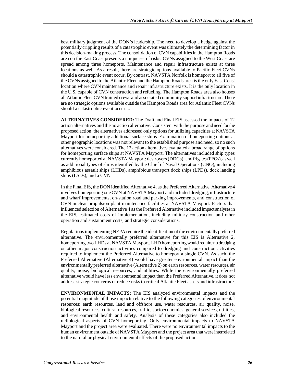best military judgment of the DON's leadership. The need to develop a hedge against the potentially crippling results of a catastrophic event was ultimately the determining factor in this decision-making process. The consolidation of CVN capabilities in the Hampton Roads area on the East Coast presents a unique set of risks. CVNs assigned to the West Coast are spread among three homeports. Maintenance and repair infrastructure exists at three locations as well. As a result, there are strategic options available to Pacific Fleet CVNs should a catastrophic event occur. By contrast, NAVSTA Norfolk is homeport to all five of the CVNs assigned to the Atlantic Fleet and the Hampton Roads area is the only East Coast location where CVN maintenance and repair infrastructure exists. It is the only location in the U.S. capable of CVN construction and refueling. The Hampton Roads area also houses all Atlantic Fleet CVN trained crews and associated community support infrastructure. There are no strategic options available outside the Hampton Roads area for Atlantic Fleet CVNs should a catastrophic event occur....

**ALTERNATIVES CONSIDERED:** The Draft and Final EIS assessed the impacts of 12 action alternatives and the no action alternative. Consistent with the purpose and need for the proposed action, the alternatives addressed only options for utilizing capacities at NAVSTA Mayport for homeporting additional surface ships. Examination of homeporting options at other geographic locations was not relevant to the established purpose and need, so no such alternatives were considered. The 12 action alternatives evaluated a broad range of options for homeporting surface ships at NAVSTA Mayport. The alternatives included ship types currently homeported at NAVSTA Mayport: destroyers (DDGs), and frigates (FFGs), as well as additional types of ships identified by the Chief of Naval Operations (CNO), including amphibious assault ships (LHDs), amphibious transport dock ships (LPDs), dock landing ships (LSDs), and a CVN.

In the Final EIS, the DON identified Alternative 4, as the Preferred Alternative. Alternative 4 involves homeporting one CVN at NAVSTA Mayport and included dredging, infrastructure and wharf improvements, on-station road and parking improvements, and construction of CVN nuclear propulsion plant maintenance facilities at NAVSTA Mayport. Factors that influenced selection of Alternative 4 as the Preferred Alternative included impact analyses in the EIS, estimated costs of implementation, including military construction and other operation and sustainment costs, and strategic considerations.

Regulations implementing NEPA require the identification of the environmentally preferred alternative. The environmentally preferred alternative for this EIS is Alternative 2, homeporting two LHDs at NAVSTA Mayport. LHD homeporting would require no dredging or other major construction activities compared to dredging and construction activities required to implement the Preferred Alternative to homeport a single CVN. As such, the Preferred Alternative (Alternative 4) would have greater environmental impact than the environmentally preferred alternative (Alternative 2) on earth resources, water resources, air quality, noise, biological resources, and utilities. While the environmentally preferred alternative would have less environmental impact than the Preferred Alternative, it does not address strategic concerns or reduce risks to critical Atlantic Fleet assets and infrastructure.

**ENVIRONMENTAL IMPACTS:** The EIS analyzed environmental impacts and the potential magnitude of those impacts relative to the following categories of environmental resources: earth resources, land and offshore use, water resources, air quality, noise, biological resources, cultural resources, traffic, socioeconomics, general services, utilities, and environmental health and safety. Analysis of these categories also included the radiological aspects of CVN homeporting. Only environmental impacts to NAVSTA Mayport and the project area were evaluated. There were no environmental impacts to the human environment outside of NAVSTA Mayport and the project area that were interrelated to the natural or physical environmental effects of the proposed action.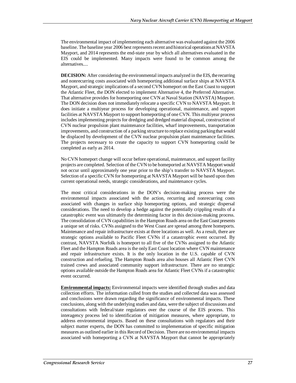The environmental impact of implementing each alternative was evaluated against the 2006 baseline. The baseline year 2006 best represents recent and historical operations at NAVSTA Mayport, and 2014 represents the end-state year by which all alternatives evaluated in the EIS could be implemented. Many impacts were found to be common among the alternatives....

**DECISION:** After considering the environmental impacts analyzed in the EIS, the recurring and nonrecurring costs associated with homeporting additional surface ships at NAVSTA Mayport, and strategic implications of a second CVN homeport on the East Coast to support the Atlantic Fleet, the DON elected to implement Alternative 4, the Preferred Alternative. That alternative provides for homeporting one CVN at Naval Station (NAVSTA) Mayport. The DON decision does not immediately relocate a specific CVN to NAVSTA Mayport. It does initiate a multiyear process for developing operational, maintenance, and support facilities at NAVSTA Mayport to support homeporting of one CVN. This multiyear process includes implementing projects for dredging and dredged material disposal, construction of CVN nuclear propulsion plant maintenance facilities, wharf improvements, transportation improvements, and construction of a parking structure to replace existing parking that would be displaced by development of the CVN nuclear propulsion plant maintenance facilities. The projects necessary to create the capacity to support CVN homeporting could be completed as early as 2014.

No CVN homeport change will occur before operational, maintenance, and support facility projects are completed. Selection of the CVN to be homeported at NAVSTA Mayport would not occur until approximately one year prior to the ship's transfer to NAVSTA Mayport. Selection of a specific CVN for homeporting at NAVSTA Mayport will be based upon then current operational needs, strategic considerations, and maintenance cycles.

The most critical considerations in the DON's decision-making process were the environmental impacts associated with the action, recurring and nonrecurring costs associated with changes in surface ship homeporting options, and strategic dispersal considerations. The need to develop a hedge against the potentially crippling results of a catastrophic event was ultimately the determining factor in this decision-making process. The consolidation of CVN capabilities in the Hampton Roads area on the East Coast presents a unique set of risks. CVNs assigned to the West Coast are spread among three homeports. Maintenance and repair infrastructure exists at three locations as well. As a result, there are strategic options available to Pacific Fleet CVNs if a catastrophic event occurred. By contrast, NAVSTA Norfolk is homeport to all five of the CVNs assigned to the Atlantic Fleet and the Hampton Roads area is the only East Coast location where CVN maintenance and repair infrastructure exists. It is the only location in the U.S. capable of CVN construction and refueling. The Hampton Roads area also houses all Atlantic Fleet CVN trained crews and associated community support infrastructure. There are no strategic options available outside the Hampton Roads area for Atlantic Fleet CVNs if a catastrophic event occurred.

**Environmental impacts:** Environmental impacts were identified through studies and data collection efforts. The information culled from the studies and collected data was assessed and conclusions were drawn regarding the significance of environmental impacts. These conclusions, along with the underlying studies and data, were the subject of discussions and consultations with federal/state regulators over the course of the EIS process. This interagency process led to identification of mitigation measures, where appropriate, to address environmental impacts. Based on these consultations with regulators and their subject matter experts, the DON has committed to implementation of specific mitigation measures as outlined earlier in this Record of Decision. There are no environmental impacts associated with homeporting a CVN at NAVSTA Mayport that cannot be appropriately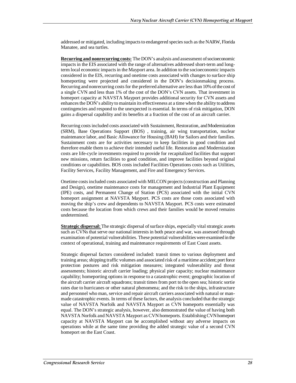addressed or mitigated, including impacts to endangered species such as the NARW, Florida Manatee, and sea turtles.

**Recurring and nonrecurring costs:** The DON's analysis and assessment of socioeconomic impacts in the EIS associated with the range of alternatives addressed short-term and longterm local economic impacts in the Mayport area. In addition to the socioeconomic impacts considered in the EIS, recurring and onetime costs associated with changes to surface ship homeporting were projected and considered in the DON's decisionmaking process. Recurring and nonrecurring costs for the preferred alternative are less than 10% of the cost of a single CVN and less than 1% of the cost of the DON's CVN assets. That investment in homeport capacity at NAVSTA Mayport provides additional security for CVN assets and enhances the DON's ability to maintain its effectiveness at a time when the ability to address contingencies and respond to the unexpected is essential. In terms of risk mitigation, DON gains a dispersal capability and its benefits at a fraction of the cost of an aircraft carrier.

Recurring costs included costs associated with Sustainment, Restoration, and Modernization (SRM), Base Operations Support (BOS) , training, air wing transportation, nuclear maintenance labor, and Basic Allowance for Housing (BAH) for Sailors and their families. Sustainment costs are for activities necessary to keep facilities in good condition and therefore enable them to achieve their intended useful life. Restoration and Modernization costs are life-cycle investments required to provide for recapitalized facilities that support new missions, return facilities to good condition, and improve facilities beyond original conditions or capabilities. BOS costs included Facilities Operations costs such as Utilities, Facility Services, Facility Management, and Fire and Emergency Services.

Onetime costs included costs associated with MILCON projects (construction and Planning and Design), onetime maintenance costs for management and Industrial Plant Equipment (IPE) costs, and Permanent Change of Station (PCS) associated with the initial CVN homeport assignment at NAVSTA Mayport. PCS costs are those costs associated with moving the ship's crew and dependents to NAVSTA Mayport. PCS costs were estimated costs because the location from which crews and their families would be moved remains undetermined.

**Strategic dispersal:** The strategic dispersal of surface ships, especially vital strategic assets such as CVNs that serve our national interests in both peace and war, was assessed through examination of potential vulnerabilities. These potential vulnerabilities were examined in the context of operational, training and maintenance requirements of East Coast assets.

Strategic dispersal factors considered included: transit times to various deployment and training areas; shipping traffic volumes and associated risk of a maritime accident; port force protection postures and risk mitigation measures; integrated vulnerability and threat assessments; historic aircraft carrier loading; physical pier capacity; nuclear maintenance capability; homeporting options in response to a catastrophic event; geographic location of the aircraft carrier aircraft squadrons; transit times from port to the open sea; historic sortie rates due to hurricanes or other natural phenomena; and the risk to the ships, infrastructure and personnel who man, service and repair aircraft carriers associated with natural or manmade catastrophic events. In terms of these factors, the analysis concluded that the strategic value of NAVSTA Norfolk and NAVSTA Mayport as CVN homeports essentially was equal. The DON's strategic analysis, however, also demonstrated the value of having both NAVSTA Norfolk and NAVSTA Mayport as CVN homeports. Establishing CVN homeport capacity at NAVSTA Mayport can be accomplished without any adverse impacts on operations while at the same time providing the added strategic value of a second CVN homeport on the East Coast.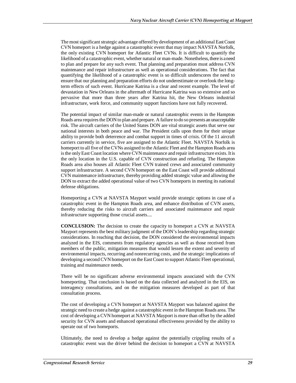The most significant strategic advantage offered by development of an additional East Coast CVN homeport is a hedge against a catastrophic event that may impact NAVSTA Norfolk, the only existing CVN homeport for Atlantic Fleet CVNs. It is difficult to quantify the likelihood of a catastrophic event, whether natural or man-made. Nonetheless, there is a need to plan and prepare for any such event. That planning and preparation must address CVN maintenance and repair infrastructure as well as operational considerations. The fact that quantifying the likelihood of a catastrophic event is so difficult underscores the need to ensure that our planning and preparation efforts do not underestimate or overlook the longterm effects of such event. Hurricane Katrina is a clear and recent example. The level of devastation in New Orleans in the aftermath of Hurricane Katrina was so extensive and so pervasive that more than three years after Katrina hit, the New Orleans industrial infrastructure, work force, and community support functions have not fully recovered.

The potential impact of similar man-made or natural catastrophic events in the Hampton Roads area requires the DON to plan and prepare. A failure to do so presents an unacceptable risk. The aircraft carriers of the United States DON are vital strategic assets that serve our national interests in both peace and war. The President calls upon them for their unique ability to provide both deterrence and combat support in times of crisis. Of the 11 aircraft carriers currently in service, five are assigned to the Atlantic Fleet. NAVSTA Norfolk is homeport to all five of the CVNs assigned to the Atlantic Fleet and the Hampton Roads area is the only East Coast location where CVN maintenance and repair infrastructure exists. It is the only location in the U.S. capable of CVN construction and refueling. The Hampton Roads area also houses all Atlantic Fleet CVN trained crews and associated community support infrastructure. A second CVN homeport on the East Coast will provide additional CVN maintenance infrastructure, thereby providing added strategic value and allowing the DON to extract the added operational value of two CVN homeports in meeting its national defense obligations.

Homeporting a CVN at NAVSTA Mayport would provide strategic options in case of a catastrophic event in the Hampton Roads area, and enhance distribution of CVN assets, thereby reducing the risks to aircraft carriers and associated maintenance and repair infrastructure supporting those crucial assets....

**CONCLUSION:** The decision to create the capacity to homeport a CVN at NAVSTA Mayport represents the best military judgment of the DON's leadership regarding strategic considerations. In reaching that decision, the DON considered the environmental impacts analyzed in the EIS, comments from regulatory agencies as well as those received from members of the public, mitigation measures that would lessen the extent and severity of environmental impacts, recurring and nonrecurring costs, and the strategic implications of developing a second CVN homeport on the East Coast to support Atlantic Fleet operational, training and maintenance needs.

There will be no significant adverse environmental impacts associated with the CVN homeporting. That conclusion is based on the data collected and analyzed in the EIS, on interagency consultations, and on the mitigation measures developed as part of that consultation process.

The cost of developing a CVN homeport at NAVSTA Mayport was balanced against the strategic need to create a hedge against a catastrophic event in the Hampton Roads area. The cost of developing a CVN homeport at NAVSTA Mayport is more than offset by the added security for CVN assets and enhanced operational effectiveness provided by the ability to operate out of two homeports.

Ultimately, the need to develop a hedge against the potentially crippling results of a catastrophic event was the driver behind the decision to homeport a CVN at NAVSTA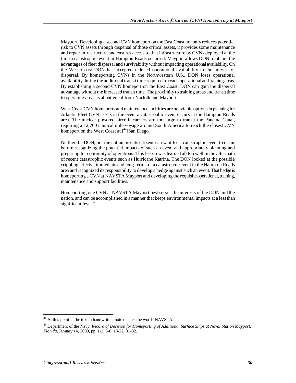Mayport. Developing a second CVN homeport on the East Coast not only reduces potential risk to CVN assets through dispersal of those critical assets, it provides some maintenance and repair infrastructure and ensures access to that infrastructure by CVNs deployed at the time a catastrophic event in Hampton Roads occurred. Mayport allows DON to obtain the advantages of fleet dispersal and survivability without impacting operational availability. On the West Coast DON has accepted reduced operational availability in the interest of dispersal. By homeporting CVNs in the Northwestern U.S., DON loses operational availability during the additional transit time required to reach operational and training areas. By establishing a second CVN homeport on the East Coast, DON can gain the dispersal advantage without the increased transit time. The proximity to training areas and transit time to operating areas is about equal from Norfolk and Mayport.

West Coast CVN homeports and maintenance facilities are not viable options in planning for Atlantic Fleet CVN assets in the event a catastrophic event occurs in the Hampton Roads area. The nuclear powered aircraft carriers are too large to transit the Panama Canal, requiring a 12,700 nautical mile voyage around South America to reach the closest CVN homeport on the West Coast at  $\int_{0}^{44}$ ]San Diego.

Neither the DON, nor the nation, nor its citizens can wait for a catastrophic event to occur before recognizing the potential impacts of such an event and appropriately planning and preparing for continuity of operations. This lesson was learned all too well in the aftermath of recent catastrophic events such as Hurricane Katrina. The DON looked at the possible crippling effects - immediate and long-term - of a catastrophic event in the Hampton Roads area and recognized its responsibility to develop a hedge against such an event. That hedge is homeporting a CVN at NAVSTA Mayport and developing the requisite operational, training, maintenance and support facilities.

Homeporting one CVN at NAVSTA Mayport best serves the interests of the DON and the nation, and can be accomplished in a manner that keeps environmental impacts at a less than significant level.<sup>45</sup>

-

<sup>&</sup>lt;sup>44</sup> At this point in the text, a handwritten note deletes the word "NAVSTA."

<sup>45</sup> Department of the Navy, *Record of Decision for Homeporting of Additional Surface Ships at Naval Station Mayport, Florida*, January 14, 2009, pp. 1-2, 5-6, 18-22, 31-32.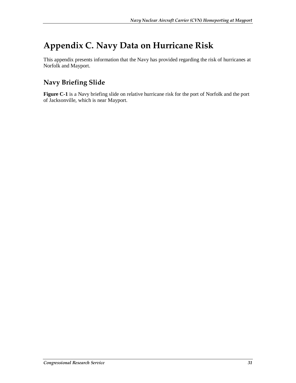# **Appendix C. Navy Data on Hurricane Risk**

This appendix presents information that the Navy has provided regarding the risk of hurricanes at Norfolk and Mayport.

## **Navy Briefing Slide**

**Figure C-1** is a Navy briefing slide on relative hurricane risk for the port of Norfolk and the port of Jacksonville, which is near Mayport.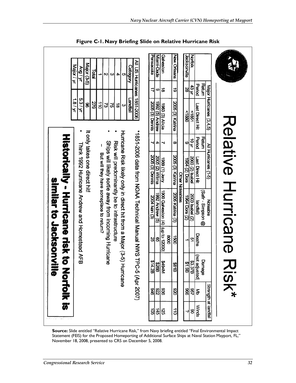|                      |                                  | Major / yr | AN / BN                                       | Major (3-5)                   | Total |                                         | N                                                     | $\boldsymbol{\omega}$ | 4                                            | ပာ                                                                 | <b>Category</b> | All US Huricanes 1851-2006                                | Pensacola              | Miami-Dade      | Galveston                               |      | <b>New Orleans</b> |                 | Jacksonville    | <b>Norfolk</b>  |                                 |                         |  |                    |  |
|----------------------|----------------------------------|------------|-----------------------------------------------|-------------------------------|-------|-----------------------------------------|-------------------------------------------------------|-----------------------|----------------------------------------------|--------------------------------------------------------------------|-----------------|-----------------------------------------------------------|------------------------|-----------------|-----------------------------------------|------|--------------------|-----------------|-----------------|-----------------|---------------------------------|-------------------------|--|--------------------|--|
|                      |                                  |            | 5.3/yr                                        |                               |       |                                         |                                                       |                       |                                              |                                                                    |                 |                                                           | ₹                      | ဖ               | ಹ                                       |      | ಕ                  |                 | 28              | 43 yr           | Retum<br>Period                 |                         |  |                    |  |
|                      |                                  | 1.8/yr     |                                               | 8                             | 279   | di                                      | ವ                                                     | 37                    | 히                                            | ω                                                                  | Landfall        |                                                           | <b>2005 (3) Dennis</b> | 1992 (5) Andrew | 1983 (3) Alicia                         |      | 2005 (3) Katrina   |                 | 0881>           | 581             | Last Direct Hit                 | Major Huricanes (3,4,5) |  |                    |  |
|                      |                                  |            |                                               |                               |       |                                         |                                                       |                       |                                              |                                                                    |                 |                                                           |                        | 4               |                                         |      | œ                  |                 | 6               | 10 yr           | Period<br>Return                |                         |  |                    |  |
|                      | Historically - Hurricane risk to |            | Thirk 1992 Hurricane Andrew and Homestead AFB | It only takes one direct hit! |       |                                         | Ships will likely sortie away from incoming Hurricane |                       | Risk will predominantly be to infrastructure | Huricane Risk ilkey only in direct hit from a Major (3-6) Huricane |                 | *1891-2006 data from NOAA Technical Manual NSC 1-500-2006 | <b>2005 (3) Dennis</b> | 2005 (2) Wilma  | <b>Auer (1) 6861</b>                    |      | 2005 (3) Katrina   | Other Noteables | 1964 (2) Dora   | 2003 (2) Isabel | Last Direct Hit                 | All Huricanes (1-5)     |  | Relative Hurricane |  |
| similar to Jacksonvi |                                  |            |                                               |                               |       | But will they have someplace to return? |                                                       |                       |                                              |                                                                    |                 |                                                           | 2004 han (3)           | 1992 Andrew (5) | 1900 Galveston $(4)$ $(4)$ to to 12000) |      | 2005 Katrina (3)   |                 | 1984 Dora (2)   | 2003 Isabel (2) | (Safir - Simpson @<br>landfall) | Noteable                |  |                    |  |
|                      |                                  |            |                                               |                               |       |                                         |                                                       |                       |                                              |                                                                    |                 |                                                           | 8                      | 8               |                                         | 8000 | 0091               |                 |                 | 51              | Deaths                          |                         |  |                    |  |
| 言の<br>್ತುವೊ          |                                  |            |                                               |                               |       |                                         |                                                       |                       |                                              |                                                                    |                 |                                                           |                        |                 | 8256<br>828<br>8438<br>8438             |      | <b>B18\$</b>       |                 | 88.37B<br>61.9B |                 | (not adjusted)<br>Damage        |                         |  | ここく                |  |
|                      | <b>Nortolk is</b>                |            |                                               |                               |       |                                         |                                                       |                       |                                              |                                                                    |                 | C-5 (Apr 2007)                                            |                        |                 | န္တုတ္လုန္တ                             |      | 026                |                 | 896             | <u>୍ଟ</u>       | l₹                              | Strength at landfall    |  |                    |  |
|                      |                                  |            |                                               |                               |       |                                         |                                                       |                       |                                              |                                                                    |                 |                                                           | ଞ୍ଜା                   | 회               | 32                                      |      | $\frac{11}{10}$    |                 | .ა              | 8               | Winds                           |                         |  |                    |  |

**Figure C-1. Navy Briefing Slide on Relative Hurricane Risk** 

**Source:** Slide entitled "Relative Hurricane Risk," from Navy briefing entitled "Final Environmental Impact Statement (FEIS) for the Proposed Homeporting of Additional Surface Ships at Naval Station Mayport, FL," November 18, 2008, presented to CRS on December 5, 2008.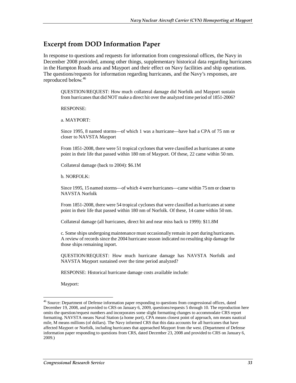## **Excerpt from DOD Information Paper**

In response to questions and requests for information from congressional offices, the Navy in December 2008 provided, among other things, supplementary historical data regarding hurricanes in the Hampton Roads area and Mayport and their effect on Navy facilities and ship operations. The questions/requests for information regarding hurricanes, and the Navy's responses, are reproduced below.<sup>46</sup>

QUESTION/REQUEST: How much collateral damage did Norfolk and Mayport sustain from hurricanes that did NOT make a direct hit over the analyzed time period of 1851-2006?

RESPONSE:

a. MAYPORT:

Since 1995, 8 named storms—of which 1 was a hurricane—have had a CPA of 75 nm or closer to NAVSTA Mayport

From 1851-2008, there were 51 tropical cyclones that were classified as hurricanes at some point in their life that passed within 180 nm of Mayport. Of these, 22 came within 50 nm.

Collateral damage (back to 2004): \$6.1M

b. NORFOLK:

Since 1995, 15 named storms—of which 4 were hurricanes—came within 75 nm or closer to NAVSTA Norfolk

From 1851-2008, there were 54 tropical cyclones that were classified as hurricanes at some point in their life that passed within 180 nm of Norfolk. Of these, 14 came within 50 nm.

Collateral damage (all hurricanes, direct hit and near miss back to 1999): \$11.8M

c. Some ships undergoing maintenance must occasionally remain in port during hurricanes. A review of records since the 2004 hurricane season indicated no resulting ship damage for those ships remaining inport.

QUESTION/REQUEST: How much hurricane damage has NAVSTA Norfolk and NAVSTA Mayport sustained over the time period analyzed?

RESPONSE: Historical hurricane damage costs available include:

Mayport:

<u>.</u>

<sup>&</sup>lt;sup>46</sup> Source: Department of Defense information paper responding to questions from congressional offices, dated December 19, 2008, and provided to CRS on January 6, 2009, questions/requests 5 through 10. The reproduction here omits the question/request numbers and incorporates some slight formatting changes to accommodate CRS report formatting. NAVSTA means Naval Station (a home port), CPA means closest point of approach, nm means nautical mile, M means millions (of dollars). The Navy informed CRS that this data accounts for all hurricanes that have affected Mayport or Norfolk, including hurricanes that approached Mayport from the west. (Department of Defense information paper responding to questions from CRS, dated December 23, 2008 and provided to CRS on January 6, 2009.)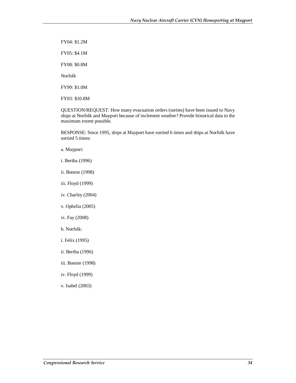FY04: \$1.2M

FY05: \$4.1M

FY08: \$0.8M

Norfolk

FY99: \$1.0M

FY03: \$10.8M

QUESTION/REQUEST: How many evacuation orders (sorties) have been issued to Navy ships at Norfolk and Mayport because of inclement weather? Provide historical data to the maximum extent possible.

RESPONSE: Since 1995, ships at Mayport have sortied 6 times and ships at Norfolk have sortied 5 times:

- a. Mayport:
- i. Bertha (1996)
- ii. Bonnie (1998)
- iii. Floyd (1999)
- iv. Charley (2004)
- v. Ophelia (2005)
- vi. Fay (2008)
- b. Norfolk:
- i. Felix (1995)
- ii. Bertha (1996)
- iii. Bonnie (1998)
- iv. Floyd (1999)
- v. Isabel (2003)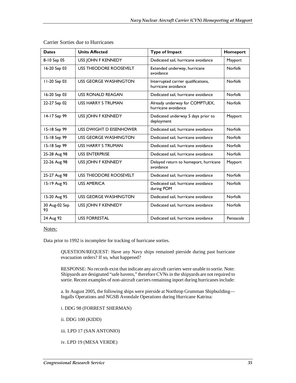| <b>Dates</b>        | <b>Units Affected</b>         | <b>Type of Impact</b>                                      | Homeport       |
|---------------------|-------------------------------|------------------------------------------------------------|----------------|
| 8-10 Sep 05         | USS JOHN F KENNEDY            | Dedicated sail, hurricane avoidance                        | Mayport        |
| 16-20 Sep 03        | USS THEODORE ROOSEVELT        | Extended underway, hurricane<br>avoidance                  | <b>Norfolk</b> |
| II-20 Sep 03        | USS GEORGE WASHINGTON         | Interrupted carrier qualifications,<br>hurricane avoidance | <b>Norfolk</b> |
| 16-20 Sep 03        | <b>USS RONALD REAGAN</b>      | Dedicated sail, hurricane avoidance                        | <b>Norfolk</b> |
| 22-27 Sep 02        | USS HARRY S TRUMAN            | Already underway for COMPTUEX,<br>hurricane avoidance      | <b>Norfolk</b> |
| 14-17 Sep 99        | USS JOHN F KENNEDY            | Dedicated underway 5 days prior to<br>deployment           | Mayport        |
| 15-18 Sep 99        | USS DWIGHT D EISENHOWER       | Dedicated sail, hurricane avoidance                        | <b>Norfolk</b> |
| 15-18 Sep 99        | USS GEORGE WASHINGTON         | Dedicated sail, hurricane avoidance                        | <b>Norfolk</b> |
| 15-18 Sep 99        | USS HARRY S TRUMAN            | Dedicated sail, hurricane avoidance                        | <b>Norfolk</b> |
| 25-28 Aug 98        | <b>USS ENTERPRISE</b>         | Dedicated sail, hurricane avoidance                        | <b>Norfolk</b> |
| 22-26 Aug 98        | <b>USS JOHN F KENNEDY</b>     | Delayed return to homeport, hurricane<br>avoidance         | Mayport        |
| 25-27 Aug 98        | <b>USS THEODORE ROOSEVELT</b> | Dedicated sail, hurricane avoidance                        | <b>Norfolk</b> |
| 15-19 Aug 95        | <b>USS AMERICA</b>            | Dedicated sail, hurricane avoidance<br>during POM          | <b>Norfolk</b> |
| 15-20 Aug 95        | <b>USS GEORGE WASHINGTON</b>  | Dedicated sail, hurricane avoidance                        | <b>Norfolk</b> |
| 30 Aug-02 Sep<br>93 | USS JOHN F KENNEDY            | Dedicated sail, hurricane avoidance                        | <b>Norfolk</b> |
| 24 Aug 92           | <b>USS FORRESTAL</b>          | Dedicated sail, hurricane avoidance                        | Pensacola      |

Carrier Sorties due to Hurricanes

Notes:

Data prior to 1992 is incomplete for tracking of hurricane sorties.

QUESTION/REQUEST: Have any Navy ships remained pierside during past hurricane evacuation orders? If so, what happened?

RESPONSE: No records exist that indicate any aircraft carriers were unable to sortie. Note: Shipyards are designated "safe havens," therefore CVNs in the shipyards are not required to sortie. Recent examples of non-aircraft carriers remaining inport during hurricanes include:

a. In August 2005, the following ships were pierside at Northrop Grumman Shipbuilding— Ingalls Operations and NGSB Avondale Operations during Hurricane Katrina:

i. DDG 98 (FORREST SHERMAN)

ii. DDG 100 (KIDD)

iii. LPD 17 (SAN ANTONIO)

iv. LPD 19 (MESA VERDE)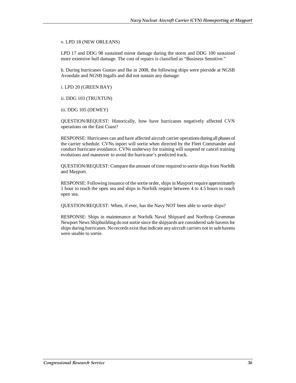v. LPD 18 (NEW ORLEANS)

LPD 17 and DDG 98 sustained minor damage during the storm and DDG 100 sustained more extensive hull damage. The cost of repairs is classified as "Business Sensitive."

b. During hurricanes Gustav and Ike in 2008, the following ships were pierside at NGSB Avondale and NGSB Ingalls and did not sustain any damage:

i. LPD 20 (GREEN BAY)

ii. DDG 103 (TRUXTUN)

iii. DDG 105 (DEWEY)

QUESTION/REQUEST: Historically, how have hurricanes negatively affected CVN operations on the East Coast?

RESPONSE: Hurricanes can and have affected aircraft carrier operations during all phases of the carrier schedule. CVNs inport will sortie when directed by the Fleet Commander and conduct hurricane avoidance. CVNs underway for training will suspend or cancel training evolutions and maneuver to avoid the hurricane's predicted track.

QUESTION/REQUEST: Compare the amount of time required to sortie ships from Norfolk and Mayport.

RESPONSE: Following issuance of the sortie order, ships in Mayport require approximately 1 hour to reach the open sea and ships in Norfolk require between 4 to 4.5 hours to reach open sea.

QUESTION/REQUEST: When, if ever, has the Navy NOT been able to sortie ships?

RESPONSE: Ships in maintenance at Norfolk Naval Shipyard and Northrop Grumman Newport News Shipbuilding do not sortie since the shipyards are considered safe havens for ships during hurricanes. No records exist that indicate any aircraft carriers not in safe havens were unable to sortie.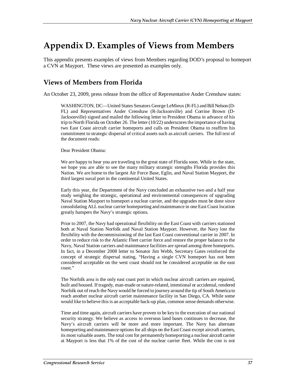## **Appendix D. Examples of Views from Members**

This appendix presents examples of views from Members regarding DOD's proposal to homeport a CVN at Mayport. These views are presented as examples only.

## **Views of Members from Florida**

An October 23, 2009, press release from the office of Representative Ander Crenshaw states:

WASHINGTON, DC—United States Senators George LeMieux (R-FL) and Bill Nelson (D-FL) and Representatives Ander Crenshaw (R-Jacksonville) and Corrine Brown (D-Jacksonville) signed and mailed the following letter to President Obama in advance of his trip to North Florida on October 26. The letter (10/22) underscores the importance of having two East Coast aircraft carrier homeports and calls on President Obama to reaffirm his commitment to strategic dispersal of critical assets such as aircraft carriers. The full text of the document reads:

Dear President Obama:

We are happy to hear you are traveling to the great state of Florida soon. While in the state, we hope you are able to see the many military strategic strengths Florida provides this Nation. We are home to the largest Air Force Base, Eglin, and Naval Station Mayport, the third largest naval port in the continental United States.

Early this year, the Department of the Navy concluded an exhaustive two and a half year study weighing the strategic, operational and environmental consequences of upgrading Naval Station Mayport to homeport a nuclear carrier, and the upgrades must be done since consolidating ALL nuclear carrier homeporting and maintenance in one East Coast location greatly hampers the Navy's strategic options.

Prior to 2007, the Navy had operational flexibility on the East Coast with carriers stationed both at Naval Station Norfolk and Naval Station Mayport. However, the Navy lost the flexibility with the decommissioning of the last East Coast conventional carrier in 2007. In order to reduce risk to the Atlantic Fleet carrier force and restore the proper balance to the Navy, Naval Station carriers and maintenance facilities are spread among three homeports. In fact, in a December 2008 letter to Senator Jim Webb, Secretary Gates reinforced the concept of strategic dispersal stating, "Having a single CVN homeport has not been considered acceptable on the west coast should not be considered acceptable on the east coast."

The Norfolk area is the only east coast port in which nuclear aircraft carriers are repaired, built and housed. If tragedy, man-made or nature-related, intentional or accidental, rendered Norfolk out of reach the Navy would be forced to journey around the tip of South America to reach another nuclear aircraft carrier maintenance facility in San Diego, CA. While some would like to believe this is an acceptable back-up plan, common sense demands otherwise.

Time and time again, aircraft carriers have proven to be key to the execution of our national security strategy. We believe as access to overseas land bases continues to decrease, the Navy's aircraft carriers will be more and more important. The Navy has alternate homeporting and maintenance options for all ships on the East Coast except aircraft carriers, its most valuable assets. The total cost for permanently homeporting a nuclear aircraft carrier at Mayport is less that 1% of the cost of the nuclear carrier fleet. While the cost is not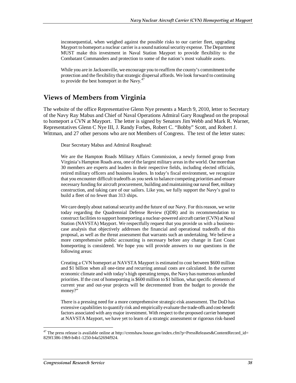inconsequential, when weighed against the possible risks to our carrier fleet, upgrading Mayport to homeport a nuclear carrier is a sound national security expense. The Department MUST make this investment in Naval Station Mayport to provide flexibility to the Combatant Commanders and protection to some of the nation's most valuable assets.

While you are in Jacksonville, we encourage you to reaffirm the county's commitment to the protection and the flexibility that strategic dispersal affords. We look forward to continuing to provide the best homeport in the Navy.<sup>47</sup>

### **Views of Members from Virginia**

The website of the office Representative Glenn Nye presents a March 9, 2010, letter to Secretary of the Navy Ray Mabus and Chief of Naval Operations Admiral Gary Roughead on the proposal to homeport a CVN at Mayport. The letter is signed by Senators Jim Webb and Mark R. Warner, Representatives Glenn C Nye III, J. Randy Forbes, Robert C. "Bobby" Scott, and Robert J. Wittman, and 27 other persons who are not Members of Congress. The text of the letter states:

Dear Secretary Mabus and Admiral Roughead:

We are the Hampton Roads Military Affairs Commission, a newly formed group from Virginia's Hampton Roads area, one of the largest military areas in the world. Our more than 30 members are experts and leaders in their respective fields, including elected officials, retired military officers and business leaders. In today's fiscal environment, we recognize that you encounter difficult tradeoffs as you seek to balance competing priorities and ensure necessary funding for aircraft procurement, building and maintaining our naval fleet, military construction, and taking care of our sailors. Like you, we fully support the Navy's goal to build a fleet of no fewer than 313 ships.

We care deeply about national security and the future of our Navy. For this reason, we write today regarding the Quadrennial Defense Review (QDR) and its recommendation to construct facilities to support homeporting a nuclear-powered aircraft carrier (CVN) at Naval Station (NAVSTA) Mayport. We respectfully request that you provide us with a businesscase analysis that objectively addresses the financial and operational tradeoffs of this proposal, as well as the threat assessment that warrants such an undertaking. We believe a more comprehensive public accounting is necessary before any change in East Coast homeporting is considered. We hope you will provide answers to our questions in the following areas:

Creating a CVN homeport at NAVSTA Mayport is estimated to cost between \$600 million and \$1 billion when all one-time and recurring annual costs are calculated. In the current economic climate and with today's high operating tempo, the Navy has numerous unfunded priorities. If the cost of homeporting is \$600 million to \$1 billion, what specific elements of current year and out-year projects will be decremented from the budget to provide the money?"

There is a pressing need for a more comprehensive strategic-risk assessment. The DoD has extensive capabilities to quantify risk and empirically evaluate the trade-offs and cost-benefit factors associated with any major investment. With respect to the proposed carrier homeport at NAVSTA Mayport, we have yet to learn of a strategic assessment or rigorous risk-based

-

<sup>&</sup>lt;sup>47</sup> The press release is available online at http://crenshaw.house.gov/index.cfm?p=PressReleases&ContentRecord\_id= 829f1386-19b9-b4b1-1250-b4a52694f924.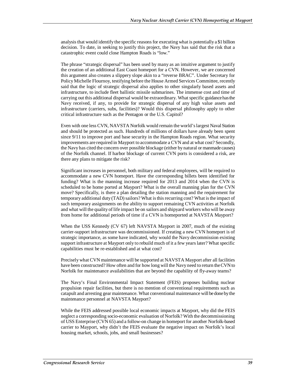analysis that would identify the specific reasons for executing what is potentially a \$1 billion decision. To date, in seeking to justify this project, the Navy has said that the risk that a catastrophic event could close Hampton Roads is "low."

The phrase "strategic dispersal" has been used by many as an intuitive argument to justify the creation of an additional East Coast homeport for a CVN. However, we are concerned this argument also creates a slippery slope akin to a "reverse BRAC". Under Secretary for Policy Michelle Flournoy, testifying before the House Armed Services Committee, recently said that the logic of strategic dispersal also applies to other singularly based assets and infrastructure, to include fleet ballistic missile submarines. The immense cost and time of carrying out this additional dispersal would be extraordinary. What specific guidance has the Navy received, if any, to provide for strategic dispersal of any high value assets and infrastructure (carriers, subs, facilities)? Would this dispersal philosophy apply to other critical infrastructure such as the Pentagon or the U.S. Capitol?

Even with one less CVN, NAVSTA Norfolk would remain the world's largest Naval Station and should be protected as such. Hundreds of millions of dollars have already been spent since 9/11 to improve port and base security in the Hampton Roads region. What security improvements are required in Mayport to accommodate a CVN and at what cost? Secondly, the Navy has cited the concern over possible blockage (either by natural or manmade causes) of the Norfolk channel. If harbor blockage of current CVN ports is considered a risk, are there any plans to mitigate the risk?

Significant increases in personnel, both military and federal employees, will be required to accommodate a new CVN homeport. Have the corresponding billets been identified for funding? What is the manning increase required for 2013 and 2014 when the CVN is scheduled to be home ported at Mayport? What is the overall manning plan for the CVN move? Specifically, is there a plan detailing the station manning and the requirement for temporary additional duty (TAD) sailors? What is this recurring cost? What is the impact of such temporary assignments on the ability to support remaining CVN activities at Norfolk and what will the quality of life impact be on sailors and shipyard workers who will be away from home for additional periods of time if a CVN is homeported at NAVSTA Mayport?

When the USS Kennedy (CV 67) left NAVSTA Mayport in 2007, much of the existing carrier-support infrastructure was decommissioned. If creating a new CVN homeport is of strategic importance, as some have indicated, why would the Navy decommission existing support infrastructure at Mayport only to rebuild much of it a few years later? What specific capabilities must be re-established and at what cost?

Precisely what CVN maintenance will be supported at NAVSTA Mayport after all facilities have been constructed? How often and for how long will the Navy need to return the CVN to Norfolk for maintenance availabilities that are beyond the capability of fly-away teams?

The Navy's Final Environmental Impact Statement (FEIS) proposes building nuclear propulsion repair facilities, but there is no mention of conventional requirements such as catapult and arresting gear maintenance. What conventional maintenance will be done by the maintenance personnel at NAVSTA Mayport?

While the FEIS addressed possible local economic impacts at Mayport, why did the FEIS neglect a corresponding socio-economic evaluation of Norfolk? With the decommissioning of USS Enterprise (CVN 65) and a follow-on change in homeport for another Norfolk-based carrier to Mayport, why didn't the FEIS evaluate the negative impact on Norfolk's local housing market, schools, jobs, and small businesses?